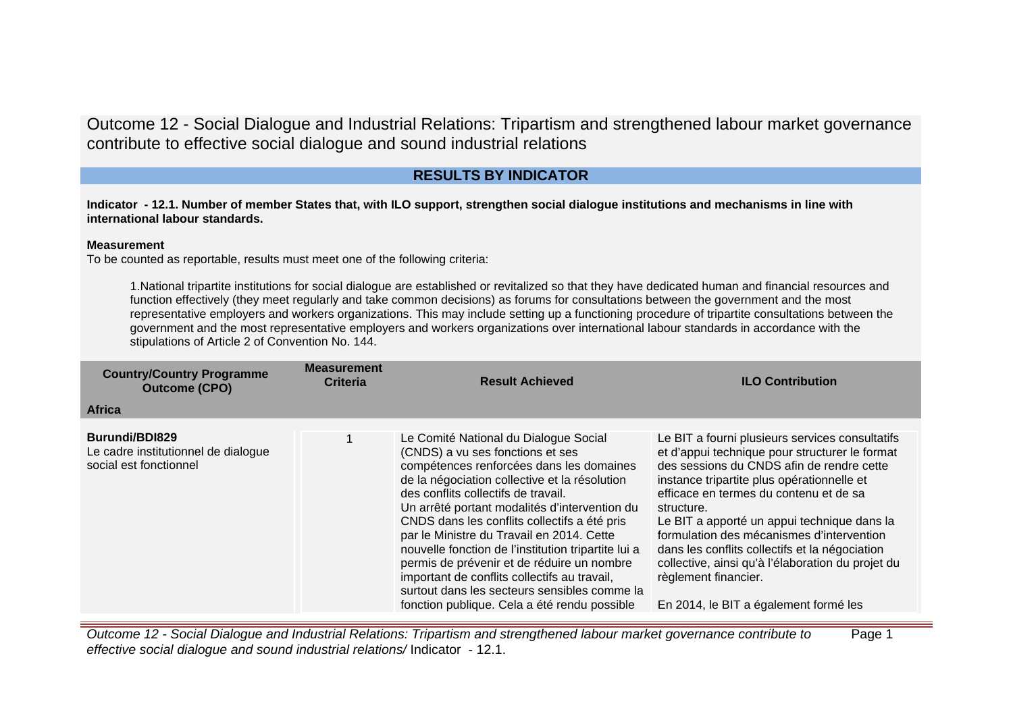# **RESULTS BY INDICATOR**

**Indicator - 12.1. Number of member States that, with ILO support, strengthen social dialogue institutions and mechanisms in line with international labour standards.**

# **Measurement**

To be counted as reportable, results must meet one of the following criteria:

1.National tripartite institutions for social dialogue are established or revitalized so that they have dedicated human and financial resources and function effectively (they meet regularly and take common decisions) as forums for consultations between the government and the most representative employers and workers organizations. This may include setting up a functioning procedure of tripartite consultations between the government and the most representative employers and workers organizations over international labour standards in accordance with the stipulations of Article 2 of Convention No. 144.

| <b>Country/Country Programme</b><br><b>Outcome (CPO)</b>                        | <b>Measurement</b><br><b>Criteria</b> | <b>Result Achieved</b>                                                                                                                                                                                                                                                                                                                                                                                                                                                                                                                                                                                           | <b>ILO Contribution</b>                                                                                                                                                                                                                                                                                                                                                                                                                                                                                                  |
|---------------------------------------------------------------------------------|---------------------------------------|------------------------------------------------------------------------------------------------------------------------------------------------------------------------------------------------------------------------------------------------------------------------------------------------------------------------------------------------------------------------------------------------------------------------------------------------------------------------------------------------------------------------------------------------------------------------------------------------------------------|--------------------------------------------------------------------------------------------------------------------------------------------------------------------------------------------------------------------------------------------------------------------------------------------------------------------------------------------------------------------------------------------------------------------------------------------------------------------------------------------------------------------------|
| <b>Africa</b>                                                                   |                                       |                                                                                                                                                                                                                                                                                                                                                                                                                                                                                                                                                                                                                  |                                                                                                                                                                                                                                                                                                                                                                                                                                                                                                                          |
| Burundi/BDI829<br>Le cadre institutionnel de dialogue<br>social est fonctionnel |                                       | Le Comité National du Dialogue Social<br>(CNDS) a vu ses fonctions et ses<br>compétences renforcées dans les domaines<br>de la négociation collective et la résolution<br>des conflits collectifs de travail.<br>Un arrêté portant modalités d'intervention du<br>CNDS dans les conflits collectifs a été pris<br>par le Ministre du Travail en 2014. Cette<br>nouvelle fonction de l'institution tripartite lui a<br>permis de prévenir et de réduire un nombre<br>important de conflits collectifs au travail,<br>surtout dans les secteurs sensibles comme la<br>fonction publique. Cela a été rendu possible | Le BIT a fourni plusieurs services consultatifs<br>et d'appui technique pour structurer le format<br>des sessions du CNDS afin de rendre cette<br>instance tripartite plus opérationnelle et<br>efficace en termes du contenu et de sa<br>structure.<br>Le BIT a apporté un appui technique dans la<br>formulation des mécanismes d'intervention<br>dans les conflits collectifs et la négociation<br>collective, ainsi qu'à l'élaboration du projet du<br>règlement financier.<br>En 2014, le BIT a également formé les |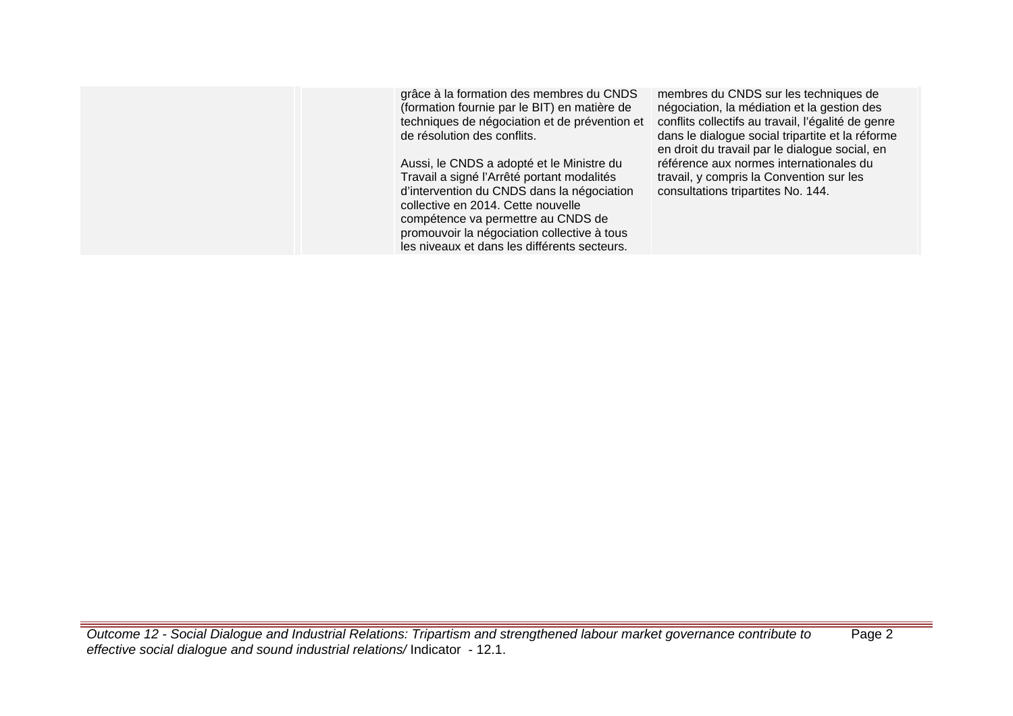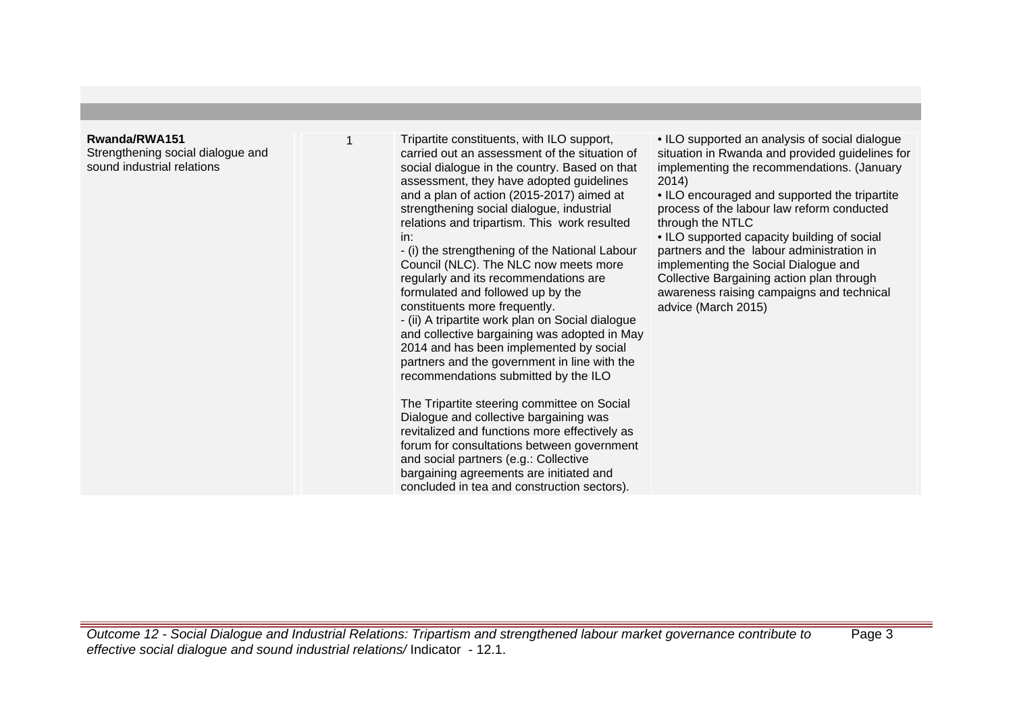## **Rwanda/RWA151**

Strengthening social dialogue and sound industrial relations

1 Tripartite constituents, with ILO support, carried out an assessment of the situation of social dialogue in the country. Based on that assessment, they have adopted guidelines and a plan of action (2015-2017) aimed at strengthening social dialogue, industrial relations and tripartism. This work resulted in:

- (i) the strengthening of the National Labour Council (NLC). The NLC now meets more regularly and its recommendations are formulated and followed up by the constituents more frequently.

- (ii) A tripartite work plan on Social dialogue and collective bargaining was adopted in May 2014 and has been implemented by social partners and the government in line with the recommendations submitted by the ILO

The Tripartite steering committee on Social Dialogue and collective bargaining was revitalized and functions more effectively as forum for consultations between government and social partners (e.g.: Collective bargaining agreements are initiated and concluded in tea and construction sectors).

• ILO supported an analysis of social dialogue situation in Rwanda and provided guidelines for implementing the recommendations. (January 2014)

• ILO encouraged and supported the tripartite process of the labour law reform conducted through the NTLC

• ILO supported capacity building of social partners and the labour administration in implementing the Social Dialogue and Collective Bargaining action plan through awareness raising campaigns and technical advice (March 2015)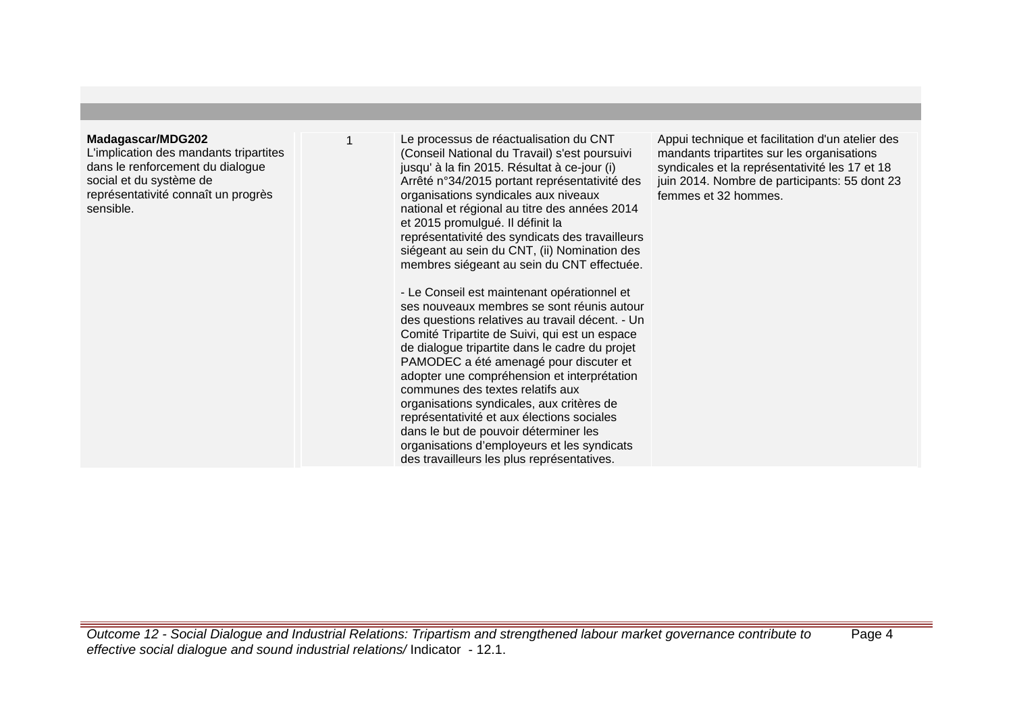# **Madagascar/MDG202**

L'implication des mandants tripartites dans le renforcement du dialogue social et du système de représentativité connaît un progrès sensible.

Le processus de réactualisation du CNT (Conseil National du Travail) s'est poursuivi jusqu' à la fin 2015. Résultat à ce-jour (i) Arrêté n°34/2015 portant représentativité des organisations syndicales aux niveaux national et régional au titre des années 2014 et 2015 promulgué. Il définit la représentativité des syndicats des travailleurs siégeant au sein du CNT, (ii) Nomination des membres siégeant au sein du CNT effectuée.

- Le Conseil est maintenant opérationnel et ses nouveaux membres se sont réunis autour des questions relatives au travail décent. - Un Comité Tripartite de Suivi, qui est un espace de dialogue tripartite dans le cadre du projet PAMODEC a été amenagé pour discuter et adopter une compréhension et interprétation communes des textes relatifs aux organisations syndicales, aux critères de représentativité et aux élections sociales dans le but de pouvoir déterminer les organisations d'employeurs et les syndicats des travailleurs les plus représentatives.

Appui technique et facilitation d'un atelier des mandants tripartites sur les organisations syndicales et la représentativité les 17 et 18 juin 2014. Nombre de participants: 55 dont 23 femmes et 32 hommes.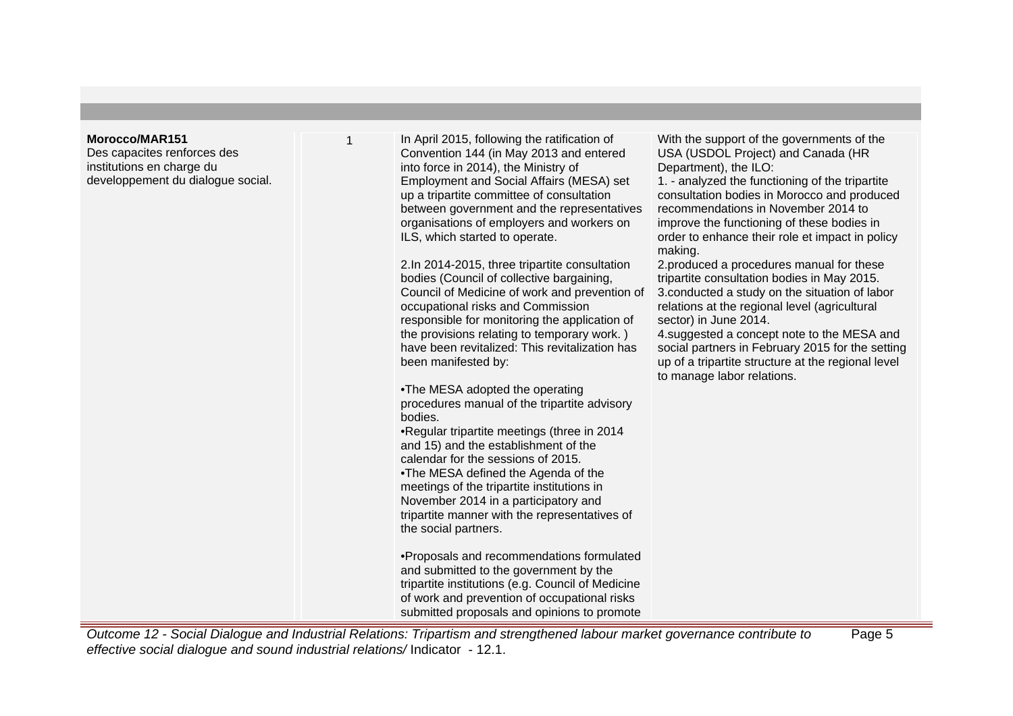## **Morocco/MAR151**

Des capacites renforces des institutions en charge du developpement du dialogue social. In April 2015, following the ratification of Convention 144 (in May 2013 and entered into force in 2014), the Ministry of Employment and Social Affairs (MESA) set up a tripartite committee of consultation between government and the representatives organisations of employers and workers on ILS, which started to operate.

2. In 2014-2015, three tripartite consultation bodies (Council of collective bargaining, Council of Medicine of work and prevention of occupational risks and Commission responsible for monitoring the application of the provisions relating to temporary work. ) have been revitalized: This revitalization has been manifested by:

• The MESA adopted the operating procedures manual of the tripartite advisory bodies.

• Regular tripartite meetings (three in 2014 and 15) and the establishment of the calendar for the sessions of 2015.

• The MESA defined the Agenda of the meetings of the tripartite institutions in November 2014 in a participatory and tripartite manner with the representatives of the social partners.

• Proposals and recommendations formulated and submitted to the government by the tripartite institutions (e.g. Council of Medicine of work and prevention of occupational risks submitted proposals and opinions to promote

With the support of the governments of the USA (USDOL Project) and Canada (HR Department), the ILO:

1. - analyzed the functioning of the tripartite consultation bodies in Morocco and produced recommendations in November 2014 to improve the functioning of these bodies in order to enhance their role et impact in policy making.

2. produced a procedures manual for these tripartite consultation bodies in May 2015. 3. conducted a study on the situation of labor relations at the regional level (agricultural sector) in June 2014.

4. suggested a concept note to the MESA and social partners in February 2015 for the setting up of a tripartite structure at the regional level to manage labor relations.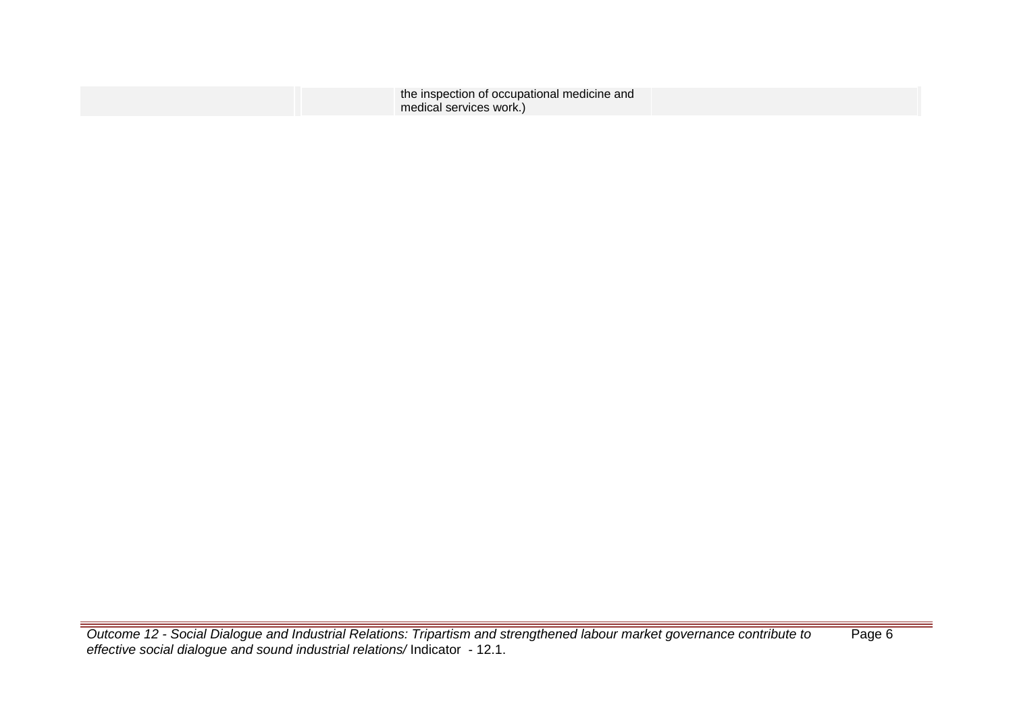| the inspection of occupational medicine and |  |
|---------------------------------------------|--|
|                                             |  |
| medical services work.)                     |  |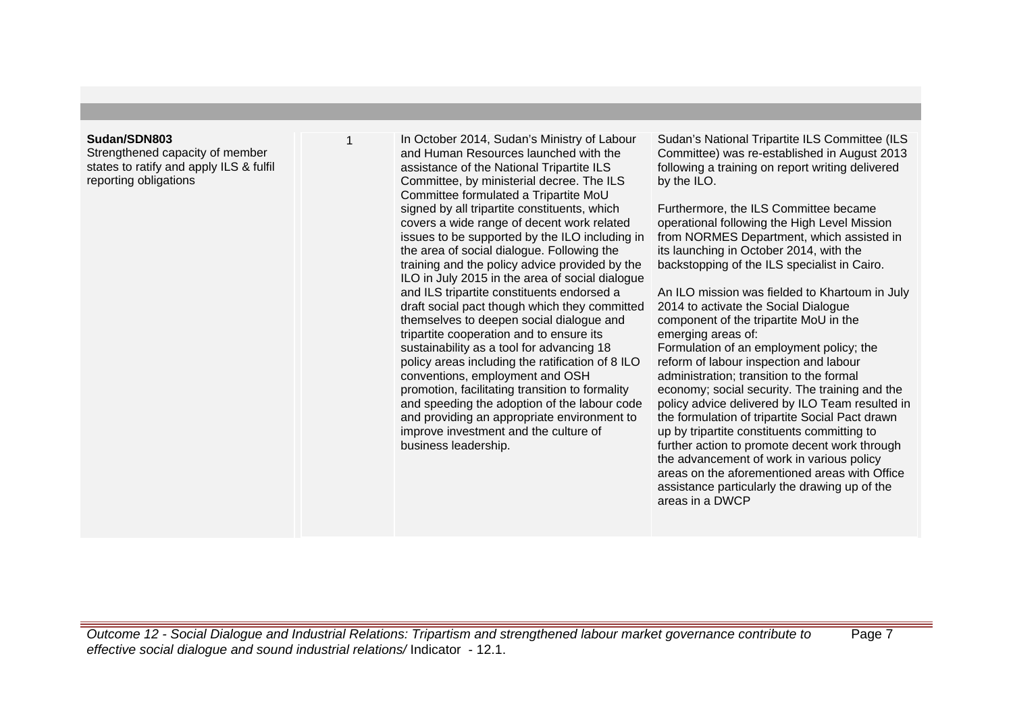## **Sudan/SDN803**

Strengthened capacity of member states to ratify and apply ILS & fulfil reporting obligations

In October 2014, Sudan's Ministry of Labour and Human Resources launched with the assistance of the National Tripartite ILS Committee, by ministerial decree. The ILS Committee formulated a Tripartite MoU signed by all tripartite constituents, which covers a wide range of decent work related issues to be supported by the ILO including in the area of social dialogue. Following the training and the policy advice provided by the ILO in July 2015 in the area of social dialogue and ILS tripartite constituents endorsed a draft social pact though which they committed themselves to deepen social dialogue and tripartite cooperation and to ensure its sustainability as a tool for advancing 18 policy areas including the ratification of 8 ILO conventions, employment and OSH promotion, facilitating transition to formality and speeding the adoption of the labour code and providing an appropriate environment to improve investment and the culture of business leadership.

Sudan's National Tripartite ILS Committee (ILS Committee) was re-established in August 2013 following a training on report writing delivered by the ILO.

Furthermore, the ILS Committee became operational following the High Level Mission from NORMES Department, which assisted in its launching in October 2014, with the backstopping of the ILS specialist in Cairo.

An ILO mission was fielded to Khartoum in July 2014 to activate the Social Dialogue component of the tripartite MoU in the emerging areas of:

Formulation of an employment policy; the reform of labour inspection and labour administration; transition to the formal economy; social security. The training and the policy advice delivered by ILO Team resulted in the formulation of tripartite Social Pact drawn up by tripartite constituents committing to further action to promote decent work through the advancement of work in various policy areas on the aforementioned areas with Office assistance particularly the drawing up of the areas in a DWCP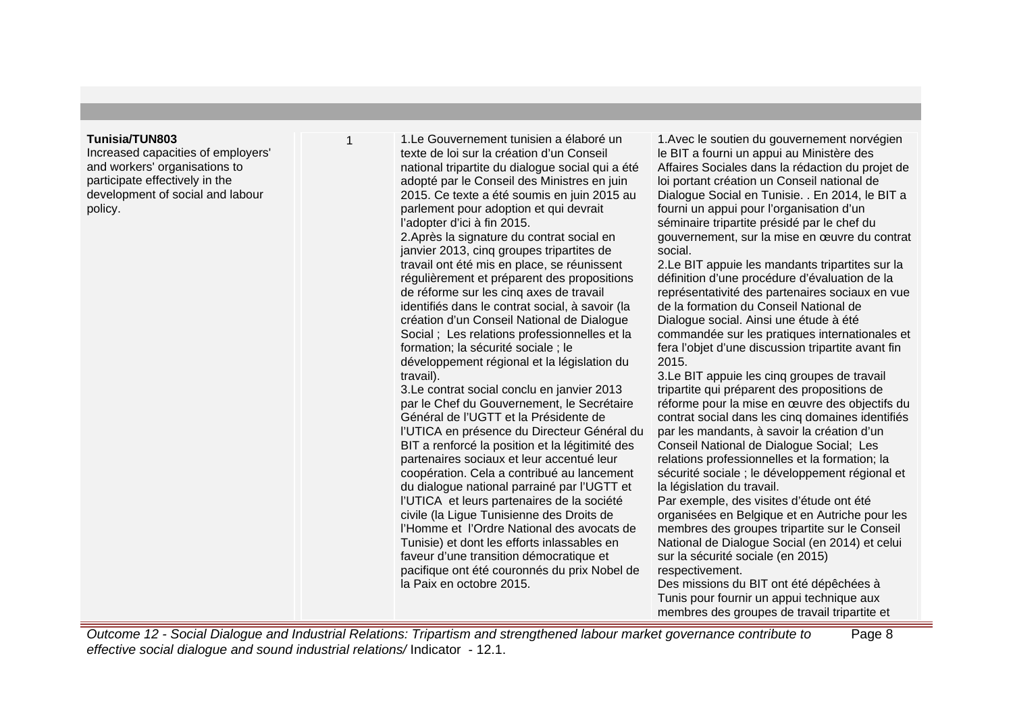# **Tunisia/TUN803**

Increased capacities of employers' and workers' organisations to participate effectively in the development of social and labour policy.

1. Le Gouvernement tunisien a élaboré un texte de loi sur la création d'un Conseil national tripartite du dialogue social qui a été adopté par le Conseil des Ministres en juin 2015. Ce texte a été soumis en juin 2015 au parlement pour adoption et qui devrait l'adopter d'ici à fin 2015.

2. Après la signature du contrat social en janvier 2013, cinq groupes tripartites de travail ont été mis en place, se réunissent régulièrement et préparent des propositions de réforme sur les cinq axes de travail identifiés dans le contrat social, à savoir (la création d'un Conseil National de Dialogue Social ; Les relations professionnelles et la formation; la sécurité sociale ; le développement régional et la législation du travail).

3. Le contrat social conclu en janvier 2013 par le Chef du Gouvernement, le Secrétaire Général de l'UGTT et la Présidente de l'UTICA en présence du Directeur Général du BIT a renforcé la position et la légitimité des partenaires sociaux et leur accentué leur coopération. Cela a contribué au lancement du dialogue national parrainé par l'UGTT et l'UTICA et leurs partenaires de la société civile (la Ligue Tunisienne des Droits de l'Homme et l'Ordre National des avocats de Tunisie) et dont les efforts inlassables en faveur d'une transition démocratique et pacifique ont été couronnés du prix Nobel de la Paix en octobre 2015.

1. Avec le soutien du gouvernement norvégien le BIT a fourni un appui au Ministère des Affaires Sociales dans la rédaction du projet de loi portant création un Conseil national de Dialogue Social en Tunisie. . En 2014, le BIT a fourni un appui pour l'organisation d'un séminaire tripartite présidé par le chef du gouvernement, sur la mise en œuvre du contrat social.

2. Le BIT appuie les mandants tripartites sur la définition d'une procédure d'évaluation de la représentativité des partenaires sociaux en vue de la formation du Conseil National de Dialogue social. Ainsi une étude à été commandée sur les pratiques internationales et fera l'objet d'une discussion tripartite avant fin 2015.

3. Le BIT appuie les cinq groupes de travail tripartite qui préparent des propositions de réforme pour la mise en œuvre des objectifs du contrat social dans les cinq domaines identifiés par les mandants, à savoir la création d'un Conseil National de Dialogue Social; Les relations professionnelles et la formation; la sécurité sociale ; le développement régional et la législation du travail.

Par exemple, des visites d'étude ont été organisées en Belgique et en Autriche pour les membres des groupes tripartite sur le Conseil National de Dialogue Social (en 2014) et celui sur la sécurité sociale (en 2015) respectivement.

Des missions du BIT ont été dépêchées à Tunis pour fournir un appui technique aux membres des groupes de travail tripartite et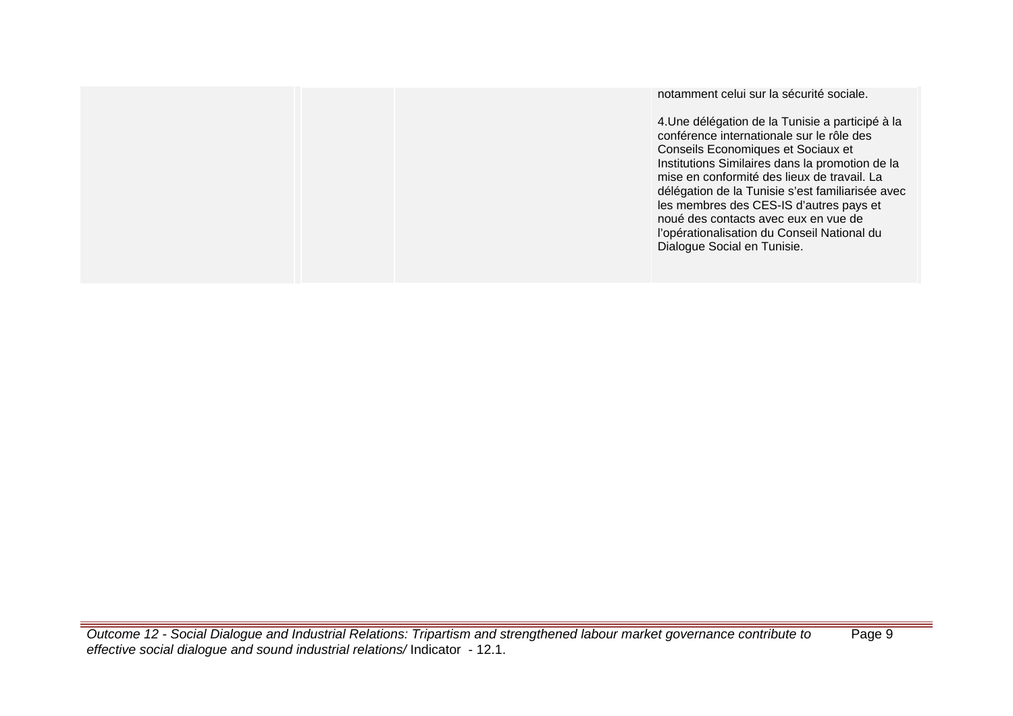notamment celui sur la sécurité sociale.

4. Une délégation de la Tunisie a participé à la conférence internationale sur le rôle des Conseils Economiques et Sociaux et Institutions Similaires dans la promotion de la mise en conformité des lieux de travail. La délégation de la Tunisie s'est familiarisée avec les membres des CES-IS d'autres pays et noué des contacts avec eux en vue de l'opérationalisation du Conseil National du Dialogue Social en Tunisie.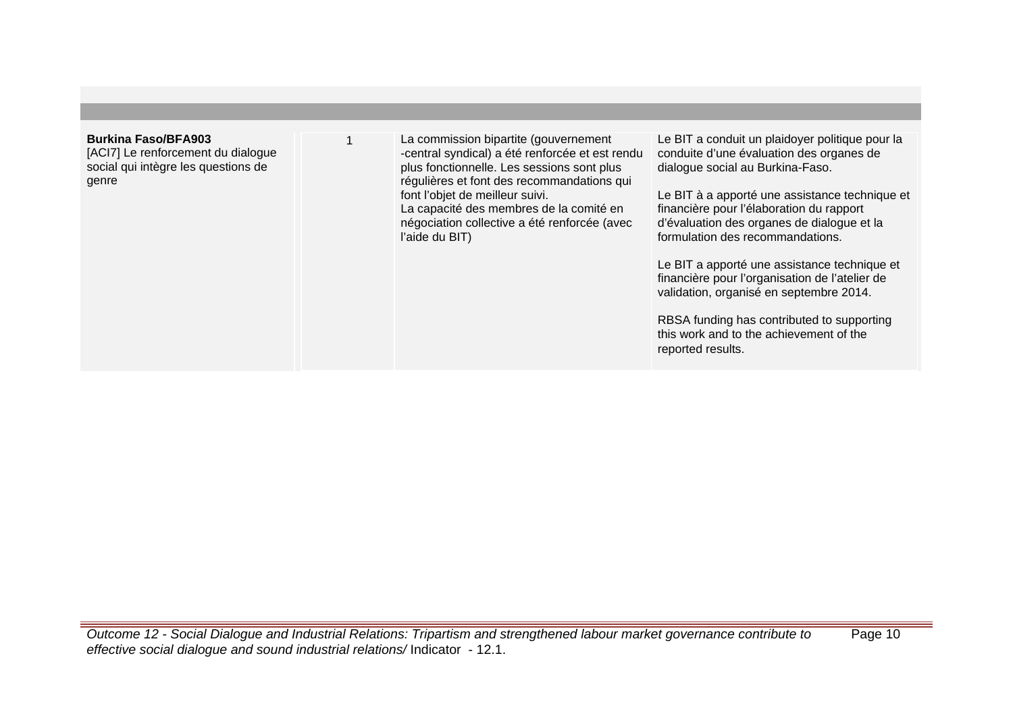# **Burkina Faso/BFA903**

[ACI7] Le renforcement du dialogue social qui intègre les questions de genre

1 La commission bipartite (gouvernement -central syndical) a été renforcée et est rendu plus fonctionnelle. Les sessions sont plus régulières et font des recommandations qui font l'objet de meilleur suivi. La capacité des membres de la comité en négociation collective a été renforcée (avec l'aide du BIT)

Le BIT a conduit un plaidover politique pour la conduite d'une évaluation des organes de dialogue social au Burkina-Faso.

Le BIT à a apporté une assistance technique et financière pour l'élaboration du rapport d'évaluation des organes de dialogue et la formulation des recommandations.

Le BIT a apporté une assistance technique et financière pour l'organisation de l'atelier de validation, organisé en septembre 2014.

RBSA funding has contributed to supporting this work and to the achievement of the reported results.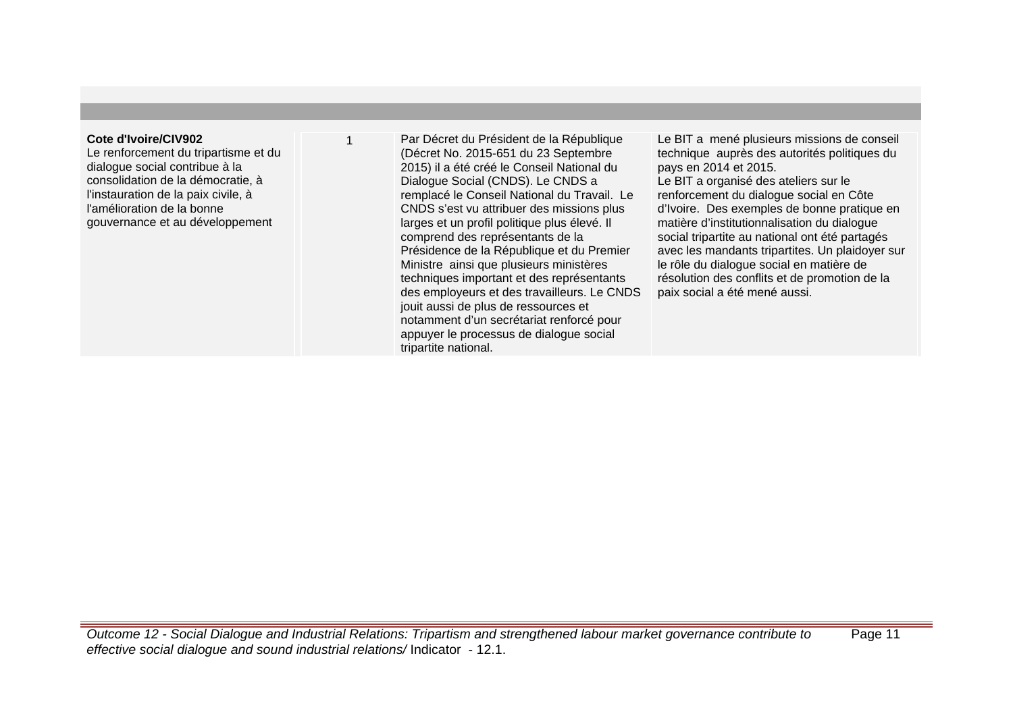# **Cote d'Ivoire/CIV902**

Le renforcement du tripartisme et du dialogue social contribue à la consolidation de la démocratie, à l'instauration de la paix civile, à l'amélioration de la bonne gouvernance et au développement

Par Décret du Président de la République (Décret No. 2015-651 du 23 Septembre 2015) il a été créé le Conseil National du Dialogue Social (CNDS). Le CNDS a remplacé le Conseil National du Travail. Le CNDS s'est vu attribuer des missions plus larges et un profil politique plus élevé. Il comprend des représentants de la Présidence de la République et du Premier Ministre ainsi que plusieurs ministères techniques important et des représentants des employeurs et des travailleurs. Le CNDS jouit aussi de plus de ressources et notamment d'un secrétariat renforcé pour appuyer le processus de dialogue social tripartite national.

Le BIT a mené plusieurs missions de conseil technique auprès des autorités politiques du pays en 2014 et 2015. Le BIT a organisé des ateliers sur le renforcement du dialogue social en Côte d'Ivoire. Des exemples de bonne pratique en matière d'institutionnalisation du dialogue social tripartite au national ont été partagés avec les mandants tripartites. Un plaidoyer sur le rôle du dialogue social en matière de résolution des conflits et de promotion de la paix social a été mené aussi.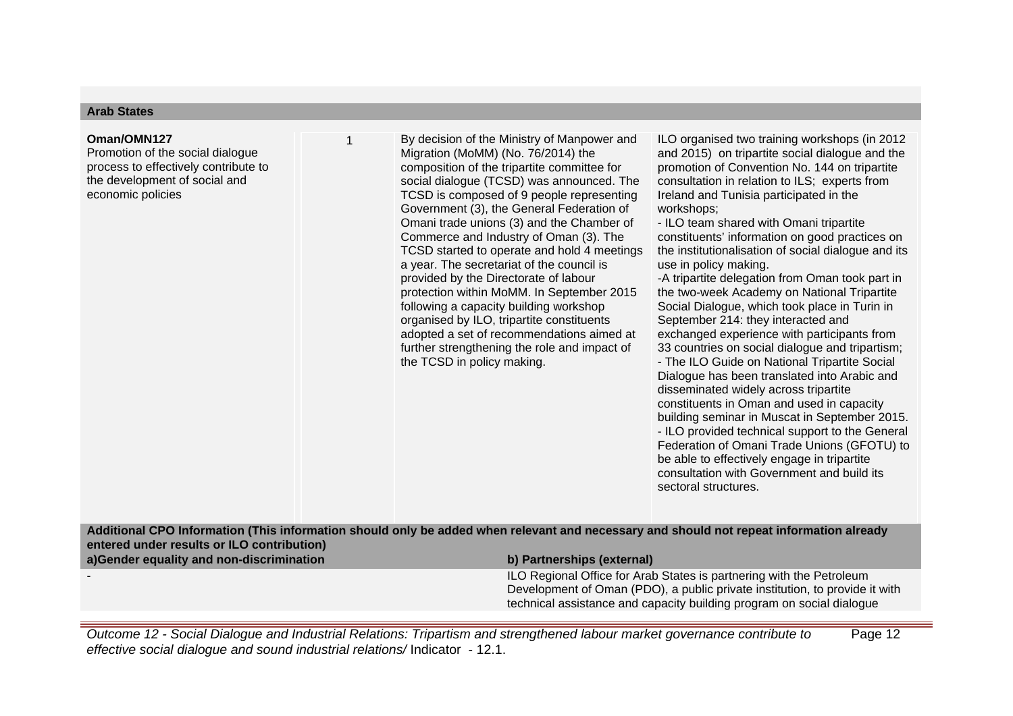# **Arab States**

#### **Oman/OMN127**

Promotion of the social dialogue process to effectively contribute to the development of social and economic policies

By decision of the Ministry of Manpower and Migration (MoMM) (No. 76/2014) the composition of the tripartite committee for social dialogue (TCSD) was announced. The TCSD is composed of 9 people representing Government (3), the General Federation of Omani trade unions (3) and the Chamber of Commerce and Industry of Oman (3). The TCSD started to operate and hold 4 meetings a year. The secretariat of the council is provided by the Directorate of labour protection within MoMM. In September 2015 following a capacity building workshop organised by ILO, tripartite constituents adopted a set of recommendations aimed at further strengthening the role and impact of the TCSD in policy making.

ILO organised two training workshops (in 2012 and 2015) on tripartite social dialogue and the promotion of Convention No. 144 on tripartite consultation in relation to ILS; experts from Ireland and Tunisia participated in the workshops;

- ILO team shared with Omani tripartite constituents' information on good practices on the institutionalisation of social dialogue and its use in policy making.

-A tripartite delegation from Oman took part in the two-week Academy on National Tripartite Social Dialogue, which took place in Turin in September 214: they interacted and exchanged experience with participants from 33 countries on social dialogue and tripartism; - The ILO Guide on National Tripartite Social Dialogue has been translated into Arabic and disseminated widely across tripartite constituents in Oman and used in capacity building seminar in Muscat in September 2015. - ILO provided technical support to the General Federation of Omani Trade Unions (GFOTU) to be able to effectively engage in tripartite consultation with Government and build its sectoral structures.

**Additional CPO Information (This information should only be added when relevant and necessary and should not repeat information already entered under results or ILO contribution)**

| a) Gender equality and non-discrimination | b) Partnerships (external)                                                                                                                                                                                                   |
|-------------------------------------------|------------------------------------------------------------------------------------------------------------------------------------------------------------------------------------------------------------------------------|
|                                           | ILO Regional Office for Arab States is partnering with the Petroleum<br>Development of Oman (PDO), a public private institution, to provide it with<br>technical assistance and capacity building program on social dialogue |
|                                           |                                                                                                                                                                                                                              |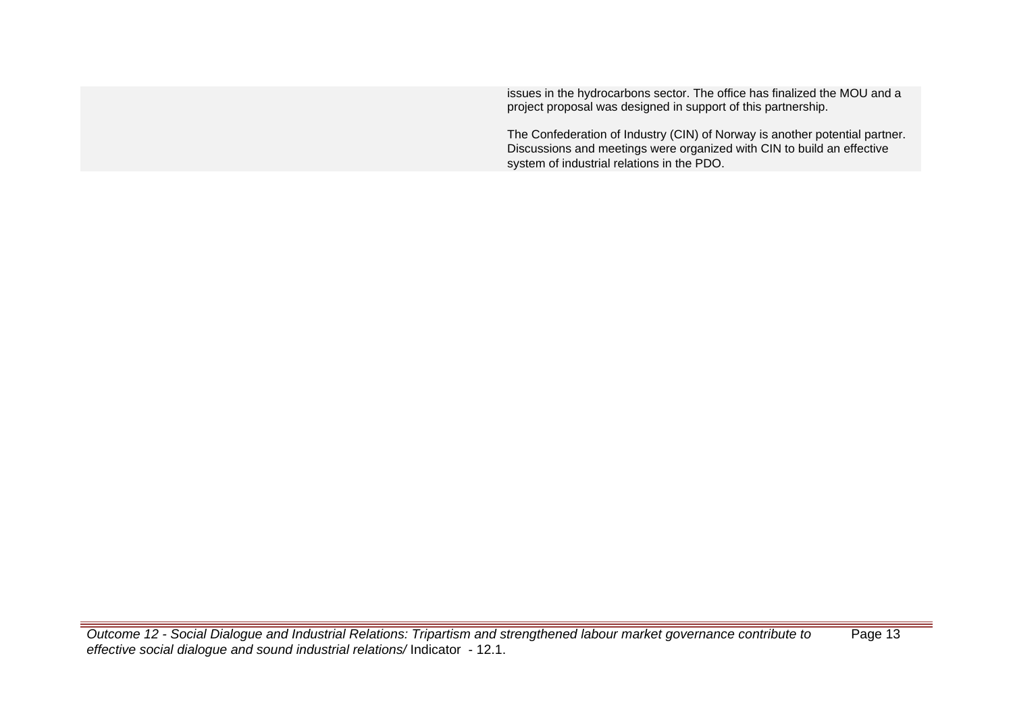issues in the hydrocarbons sector. The office has finalized the MOU and a project proposal was designed in support of this partnership.

The Confederation of Industry (CIN) of Norway is another potential partner. Discussions and meetings were organized with CIN to build an effective system of industrial relations in the PDO.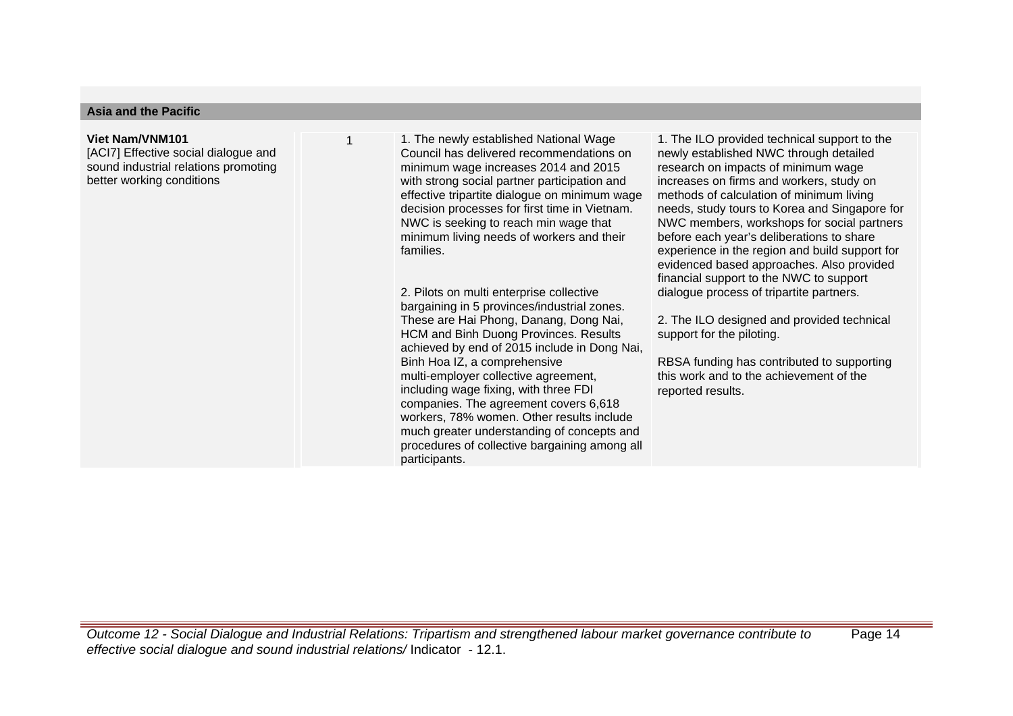# **Asia and the Pacific**

## **Viet Nam/VNM101**

[ACI7] Effective social dialogue and sound industrial relations promoting better working conditions

1. The newly established National Wage Council has delivered recommendations on minimum wage increases 2014 and 2015 with strong social partner participation and effective tripartite dialogue on minimum wage decision processes for first time in Vietnam. NWC is seeking to reach min wage that minimum living needs of workers and their families.

2. Pilots on multi enterprise collective bargaining in 5 provinces/industrial zones. These are Hai Phong, Danang, Dong Nai, HCM and Binh Duong Provinces. Results achieved by end of 2015 include in Dong Nai, Binh Hoa IZ, a comprehensive multi-employer collective agreement, including wage fixing, with three FDI companies. The agreement covers 6,618 workers, 78% women. Other results include much greater understanding of concepts and procedures of collective bargaining among all participants.

1. The ILO provided technical support to the newly established NWC through detailed research on impacts of minimum wage increases on firms and workers, study on methods of calculation of minimum living needs, study tours to Korea and Singapore for NWC members, workshops for social partners before each year's deliberations to share experience in the region and build support for evidenced based approaches. Also provided financial support to the NWC to support dialogue process of tripartite partners.

2. The ILO designed and provided technical support for the piloting.

RBSA funding has contributed to supporting this work and to the achievement of the reported results.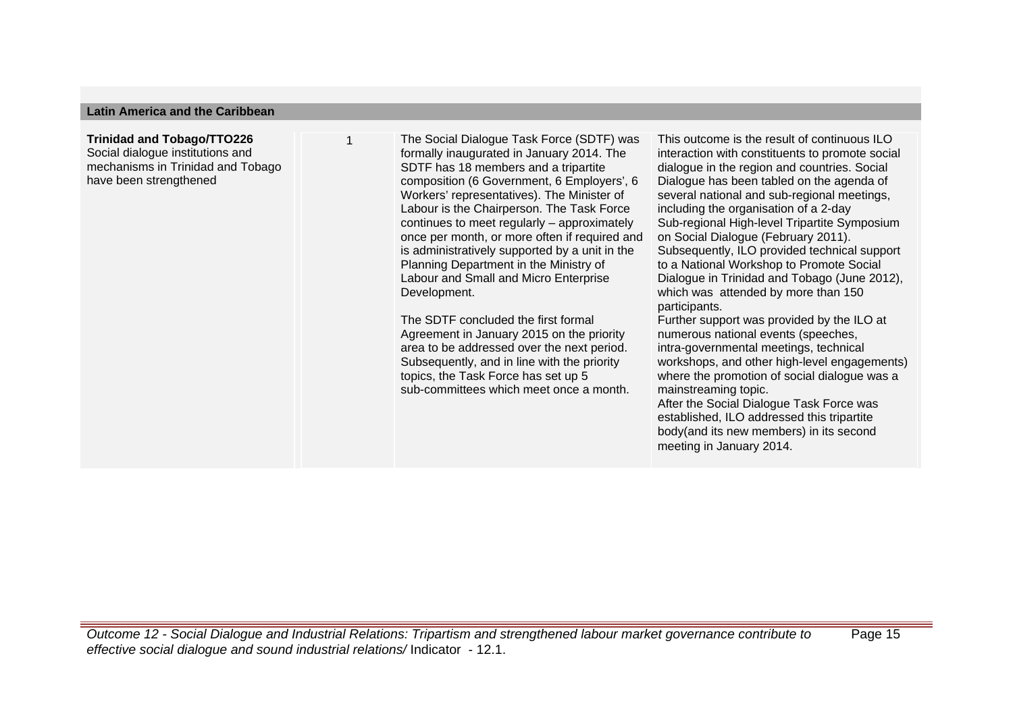## **Latin America and the Caribbean**

# **Trinidad and Tobago/TTO226**

Social dialogue institutions and mechanisms in Trinidad and Tobago have been strengthened

1 The Social Dialogue Task Force (SDTF) was formally inaugurated in January 2014. The SDTF has 18 members and a tripartite composition (6 Government, 6 Employers', 6 Workers' representatives). The Minister of Labour is the Chairperson. The Task Force continues to meet regularly – approximately once per month, or more often if required and is administratively supported by a unit in the Planning Department in the Ministry of Labour and Small and Micro Enterprise Development.

> The SDTF concluded the first formal Agreement in January 2015 on the priority area to be addressed over the next period. Subsequently, and in line with the priority topics, the Task Force has set up 5 sub-committees which meet once a month.

This outcome is the result of continuous  $II \Omega$ interaction with constituents to promote social dialogue in the region and countries. Social Dialogue has been tabled on the agenda of several national and sub-regional meetings, including the organisation of a 2-day Sub-regional High-level Tripartite Symposium on Social Dialogue (February 2011). Subsequently, ILO provided technical support to a National Workshop to Promote Social Dialogue in Trinidad and Tobago (June 2012), which was attended by more than 150 participants.

Further support was provided by the ILO at numerous national events (speeches, intra-governmental meetings, technical workshops, and other high-level engagements) where the promotion of social dialogue was a mainstreaming topic.

After the Social Dialogue Task Force was established, ILO addressed this tripartite body(and its new members) in its second meeting in January 2014.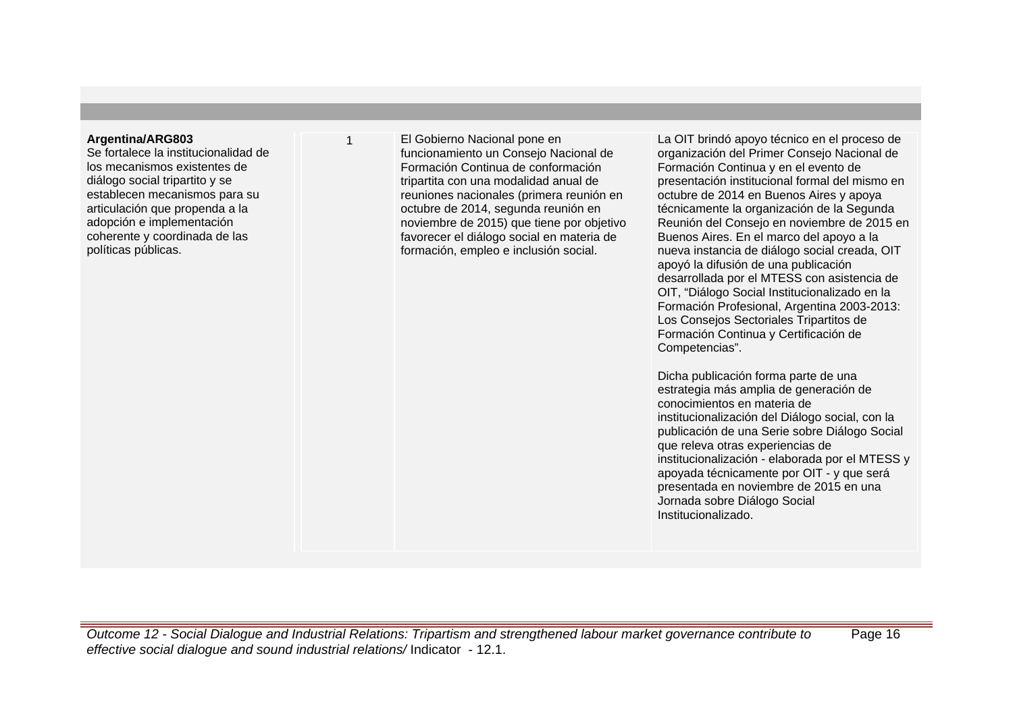# **Argentina/ARG803**

Se fortalece la institucionalidad de los mecanismos existentes de diálogo social tripartito y se establecen mecanismos para su articulación que propenda a la adopción e implementación coherente y coordinada de las políticas públicas.

El Gobierno Nacional pone en funcionamiento un Consejo Nacional de Formación Continua de conformación tripartita con una modalidad anual de reuniones nacionales (primera reunión en octubre de 2014, segunda reunión en noviembre de 2015) que tiene por objetivo favorecer el diálogo social en materia de formación, empleo e inclusión social.

La OIT brindó apoyo técnico en el proceso de organización del Primer Consejo Nacional de Formación Continua y en el evento de presentación institucional formal del mismo en octubre de 2014 en Buenos Aires y apoya técnicamente la organización de la Segunda Reunión del Consejo en noviembre de 2015 en Buenos Aires. En el marco del apoyo a la nueva instancia de diálogo social creada, OIT apoyó la difusión de una publicación desarrollada por el MTESS con asistencia de OIT, "Diálogo Social Institucionalizado en la Formación Profesional, Argentina 2003-2013: Los Consejos Sectoriales Tripartitos de Formación Continua y Certificación de Competencias".

Dicha publicación forma parte de una estrategia más amplia de generación de conocimientos en materia de institucionalización del Diálogo social, con la publicación de una Serie sobre Diálogo Social que releva otras experiencias de institucionalización - elaborada por el MTESS y apoyada técnicamente por OIT - y que será presentada en noviembre de 2015 en una Jornada sobre Diálogo Social Institucionalizado.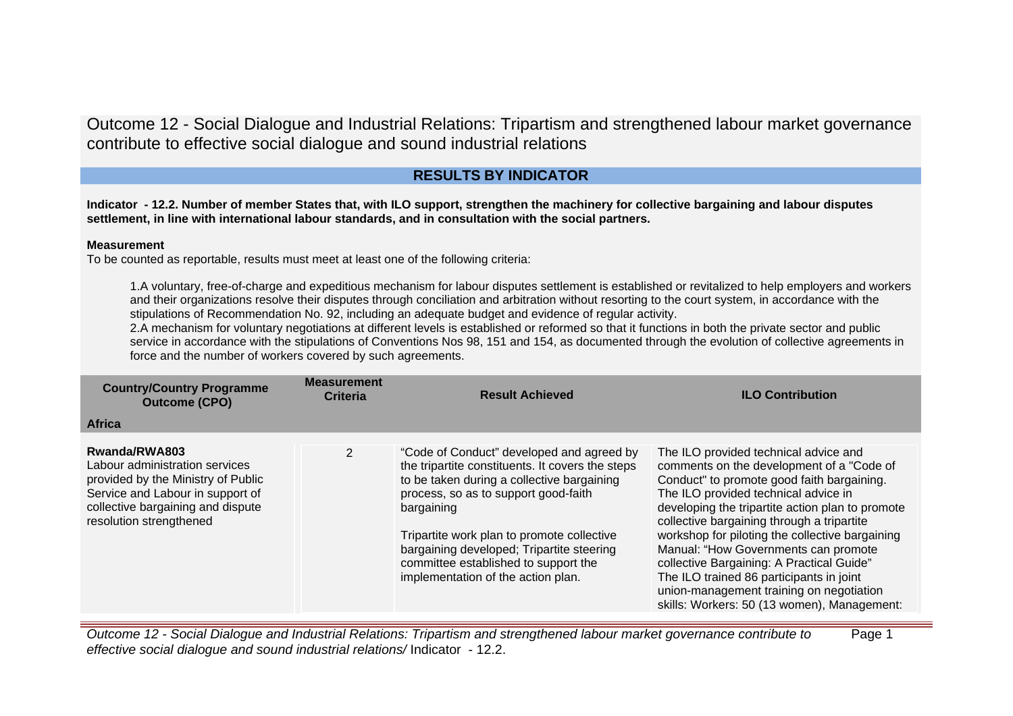# **RESULTS BY INDICATOR**

**Indicator - 12.2. Number of member States that, with ILO support, strengthen the machinery for collective bargaining and labour disputes settlement, in line with international labour standards, and in consultation with the social partners.**

# **Measurement**

To be counted as reportable, results must meet at least one of the following criteria:

1.A voluntary, free-of-charge and expeditious mechanism for labour disputes settlement is established or revitalized to help employers and workers and their organizations resolve their disputes through conciliation and arbitration without resorting to the court system, in accordance with the stipulations of Recommendation No. 92, including an adequate budget and evidence of regular activity.

2.A mechanism for voluntary negotiations at different levels is established or reformed so that it functions in both the private sector and public service in accordance with the stipulations of Conventions Nos 98, 151 and 154, as documented through the evolution of collective agreements in force and the number of workers covered by such agreements.

| <b>Country/Country Programme</b><br><b>Outcome (CPO)</b>                                                                                                                                  | <b>Measurement</b><br><b>Criteria</b> | <b>Result Achieved</b>                                                                                                                                                                                                                                                                                                                                                     | <b>ILO Contribution</b>                                                                                                                                                                                                                                                                                                                                                                                                                                                                                                                                   |
|-------------------------------------------------------------------------------------------------------------------------------------------------------------------------------------------|---------------------------------------|----------------------------------------------------------------------------------------------------------------------------------------------------------------------------------------------------------------------------------------------------------------------------------------------------------------------------------------------------------------------------|-----------------------------------------------------------------------------------------------------------------------------------------------------------------------------------------------------------------------------------------------------------------------------------------------------------------------------------------------------------------------------------------------------------------------------------------------------------------------------------------------------------------------------------------------------------|
| <b>Africa</b>                                                                                                                                                                             |                                       |                                                                                                                                                                                                                                                                                                                                                                            |                                                                                                                                                                                                                                                                                                                                                                                                                                                                                                                                                           |
| Rwanda/RWA803<br>Labour administration services<br>provided by the Ministry of Public<br>Service and Labour in support of<br>collective bargaining and dispute<br>resolution strengthened | $\overline{2}$                        | "Code of Conduct" developed and agreed by<br>the tripartite constituents. It covers the steps<br>to be taken during a collective bargaining<br>process, so as to support good-faith<br>bargaining<br>Tripartite work plan to promote collective<br>bargaining developed; Tripartite steering<br>committee established to support the<br>implementation of the action plan. | The ILO provided technical advice and<br>comments on the development of a "Code of<br>Conduct" to promote good faith bargaining.<br>The ILO provided technical advice in<br>developing the tripartite action plan to promote<br>collective bargaining through a tripartite<br>workshop for piloting the collective bargaining<br>Manual: "How Governments can promote<br>collective Bargaining: A Practical Guide"<br>The ILO trained 86 participants in joint<br>union-management training on negotiation<br>skills: Workers: 50 (13 women), Management: |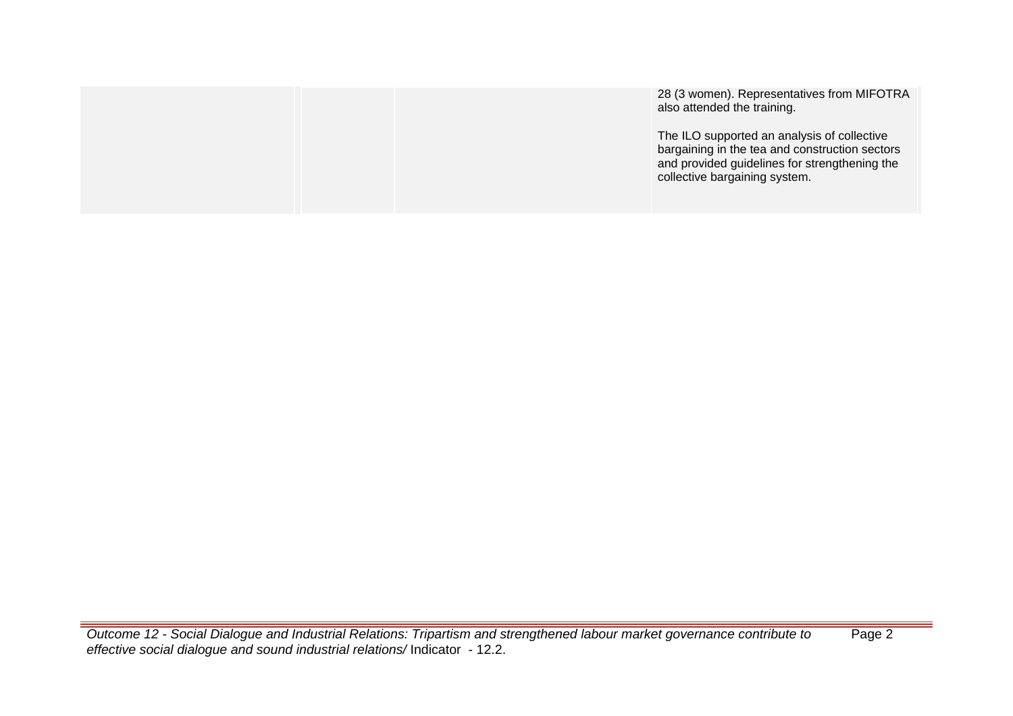|  | 28 (3 women). Representatives from MIFOTRA<br>also attended the training.                                                                                                       |
|--|---------------------------------------------------------------------------------------------------------------------------------------------------------------------------------|
|  | The ILO supported an analysis of collective<br>bargaining in the tea and construction sectors<br>and provided guidelines for strengthening the<br>collective bargaining system. |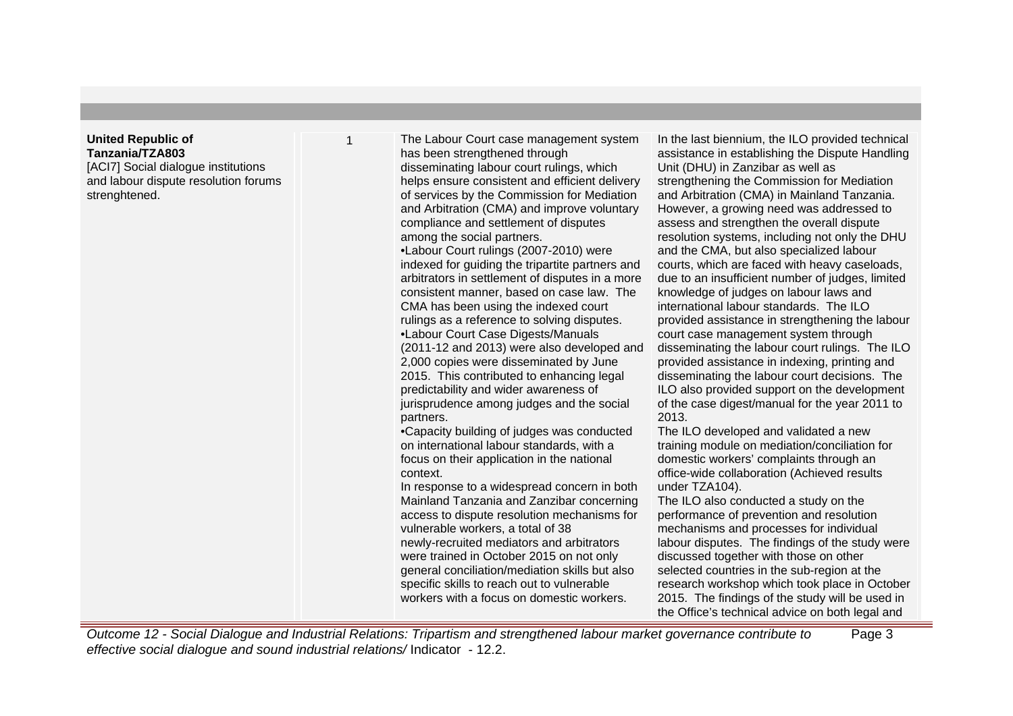# **United Republic of Tanzania/TZA803**

[ACI7] Social dialogue institutions and labour dispute resolution forums strenghtened.

1 The Labour Court case management system has been strengthened through disseminating labour court rulings, which helps ensure consistent and efficient delivery of services by the Commission for Mediation and Arbitration (CMA) and improve voluntary compliance and settlement of disputes among the social partners.

> • Labour Court rulings (2007-2010) were indexed for guiding the tripartite partners and arbitrators in settlement of disputes in a more consistent manner, based on case law. The CMA has been using the indexed court rulings as a reference to solving disputes. • Labour Court Case Digests/Manuals (2011-12 and 2013) were also developed and 2,000 copies were disseminated by June 2015. This contributed to enhancing legal predictability and wider awareness of jurisprudence among judges and the social partners.

• Capacity building of judges was conducted on international labour standards, with a focus on their application in the national context.

In response to a widespread concern in both Mainland Tanzania and Zanzibar concerning access to dispute resolution mechanisms for vulnerable workers, a total of 38 newly-recruited mediators and arbitrators were trained in October 2015 on not only general conciliation/mediation skills but also specific skills to reach out to vulnerable workers with a focus on domestic workers.

In the last biennium, the ILO provided technical assistance in establishing the Dispute Handling Unit (DHU) in Zanzibar as well as strengthening the Commission for Mediation and Arbitration (CMA) in Mainland Tanzania. However, a growing need was addressed to assess and strengthen the overall dispute resolution systems, including not only the DHU and the CMA, but also specialized labour courts, which are faced with heavy caseloads, due to an insufficient number of judges, limited knowledge of judges on labour laws and international labour standards. The ILO provided assistance in strengthening the labour court case management system through disseminating the labour court rulings. The ILO provided assistance in indexing, printing and disseminating the labour court decisions. The ILO also provided support on the development of the case digest/manual for the year 2011 to 2013.

The ILO developed and validated a new training module on mediation/conciliation for domestic workers' complaints through an office-wide collaboration (Achieved results under TZA104).

The ILO also conducted a study on the performance of prevention and resolution mechanisms and processes for individual labour disputes. The findings of the study were discussed together with those on other selected countries in the sub-region at the research workshop which took place in October 2015. The findings of the study will be used in the Office's technical advice on both legal and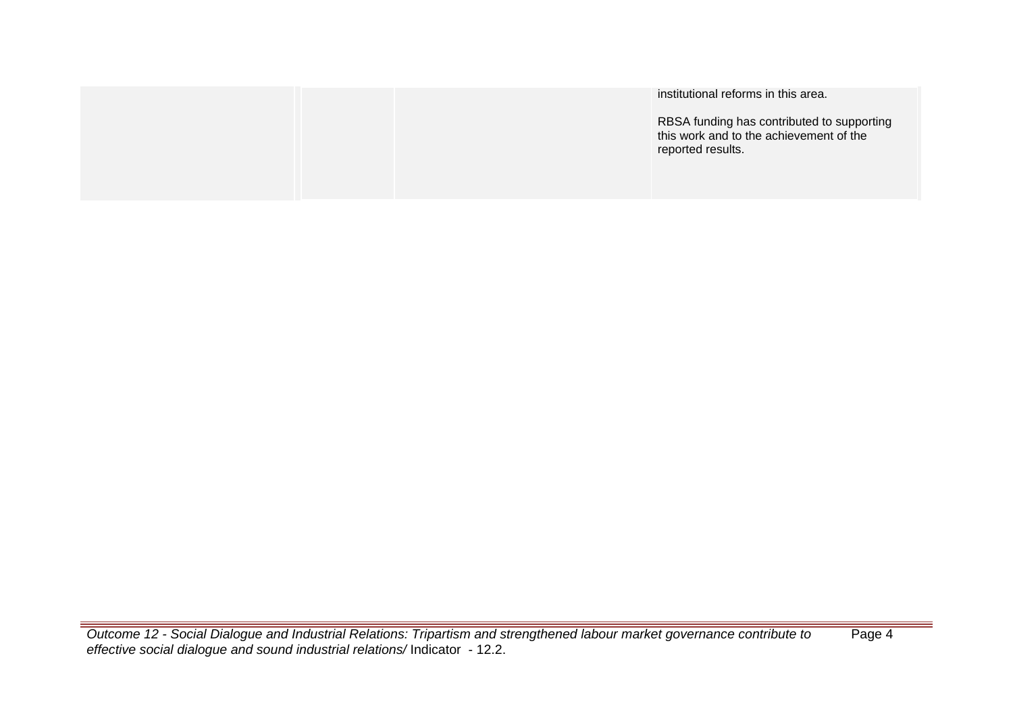|  | institutional reforms in this area.                                                                        |
|--|------------------------------------------------------------------------------------------------------------|
|  | RBSA funding has contributed to supporting<br>this work and to the achievement of the<br>reported results. |
|  |                                                                                                            |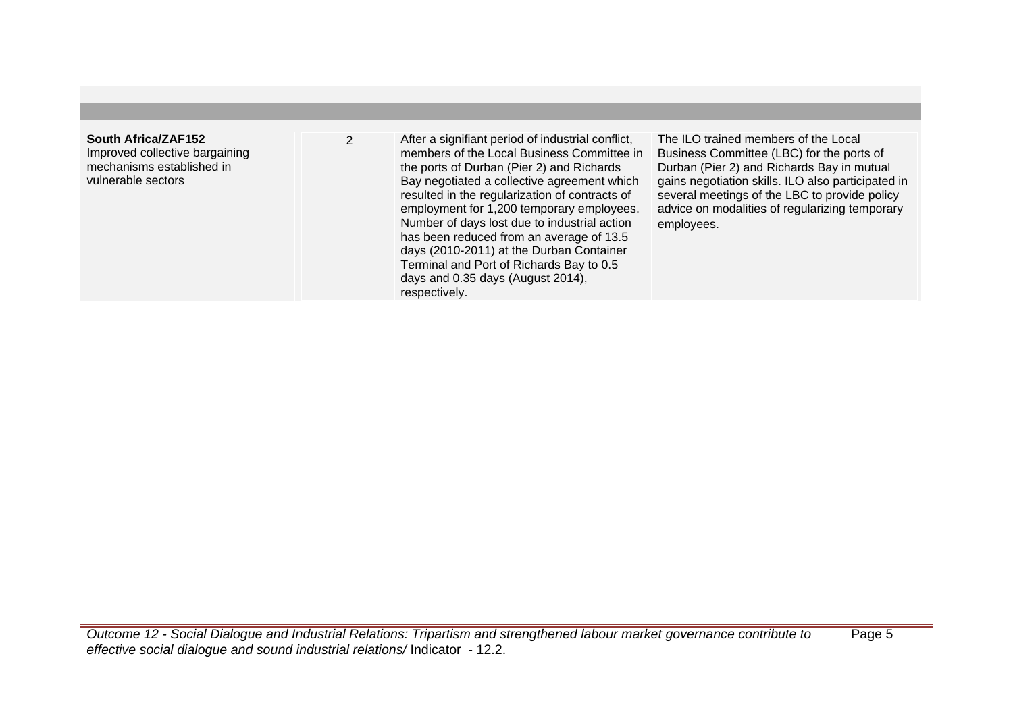| South Africa/ZAF152<br>Improved collective bargaining<br>mechanisms established in<br>vulnerable sectors | After a signifiant period of industrial conflict,<br>members of the Local Business Committee in<br>the ports of Durban (Pier 2) and Richards<br>Bay negotiated a collective agreement which<br>resulted in the regularization of contracts of<br>employment for 1,200 temporary employees.<br>Number of days lost due to industrial action<br>has been reduced from an average of 13.5<br>days (2010-2011) at the Durban Container<br>Terminal and Port of Richards Bay to 0.5<br>days and 0.35 days (August 2014),<br>respectively. | The ILO trained members of the Local<br>Business Committee (LBC) for the ports of<br>Durban (Pier 2) and Richards Bay in mutual<br>gains negotiation skills. ILO also participated in<br>several meetings of the LBC to provide policy<br>advice on modalities of regularizing temporary<br>employees. |
|----------------------------------------------------------------------------------------------------------|--------------------------------------------------------------------------------------------------------------------------------------------------------------------------------------------------------------------------------------------------------------------------------------------------------------------------------------------------------------------------------------------------------------------------------------------------------------------------------------------------------------------------------------|--------------------------------------------------------------------------------------------------------------------------------------------------------------------------------------------------------------------------------------------------------------------------------------------------------|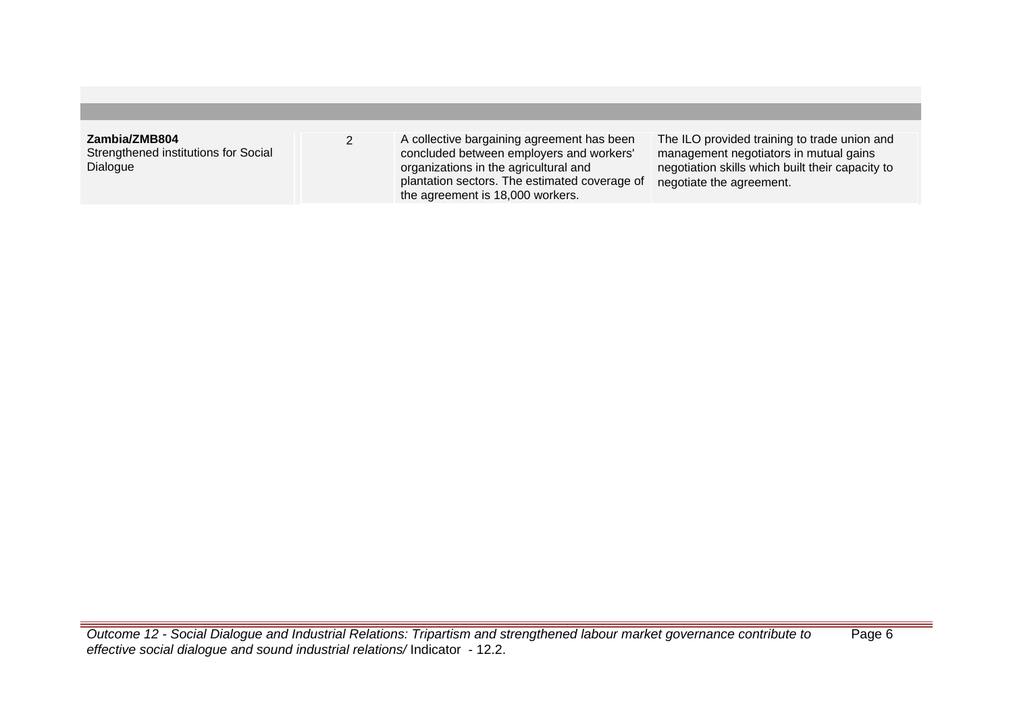| Zambia/ZMB804<br>Strengthened institutions for Social<br>Dialogue | A collective bargaining agreement has been<br>concluded between employers and workers'<br>organizations in the agricultural and | The ILO provided training to trade union and<br>management negotiators in mutual gains<br>negotiation skills which built their capacity to |
|-------------------------------------------------------------------|---------------------------------------------------------------------------------------------------------------------------------|--------------------------------------------------------------------------------------------------------------------------------------------|
|                                                                   | plantation sectors. The estimated coverage of<br>the agreement is 18,000 workers.                                               | negotiate the agreement.                                                                                                                   |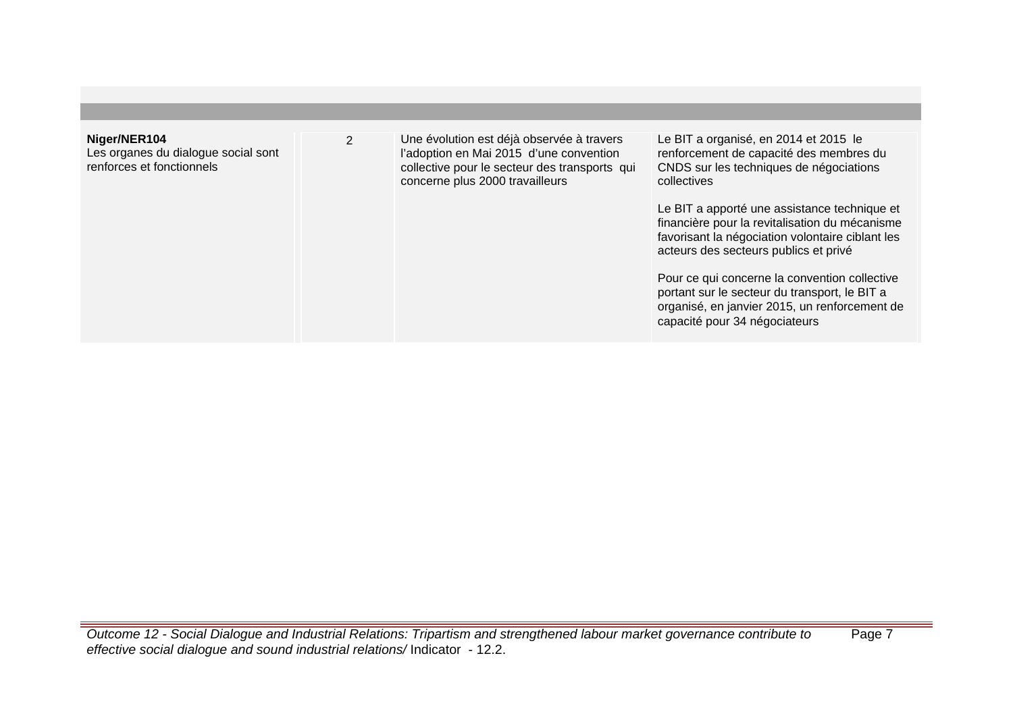| Niger/NER104<br>Les organes du dialogue social sont<br>renforces et fonctionnels | $\overline{2}$ | Une évolution est déjà observée à travers<br>l'adoption en Mai 2015 d'une convention<br>collective pour le secteur des transports qui<br>concerne plus 2000 travailleurs | Le BIT a organisé, en 2014 et 2015 le<br>renforcement de capacité des membres du<br>CNDS sur les techniques de négociations<br>collectives<br>Le BIT a apporté une assistance technique et<br>financière pour la revitalisation du mécanisme<br>favorisant la négociation volontaire ciblant les<br>acteurs des secteurs publics et privé<br>Pour ce qui concerne la convention collective<br>portant sur le secteur du transport, le BIT a |
|----------------------------------------------------------------------------------|----------------|--------------------------------------------------------------------------------------------------------------------------------------------------------------------------|---------------------------------------------------------------------------------------------------------------------------------------------------------------------------------------------------------------------------------------------------------------------------------------------------------------------------------------------------------------------------------------------------------------------------------------------|
|                                                                                  |                |                                                                                                                                                                          | organisé, en janvier 2015, un renforcement de<br>capacité pour 34 négociateurs                                                                                                                                                                                                                                                                                                                                                              |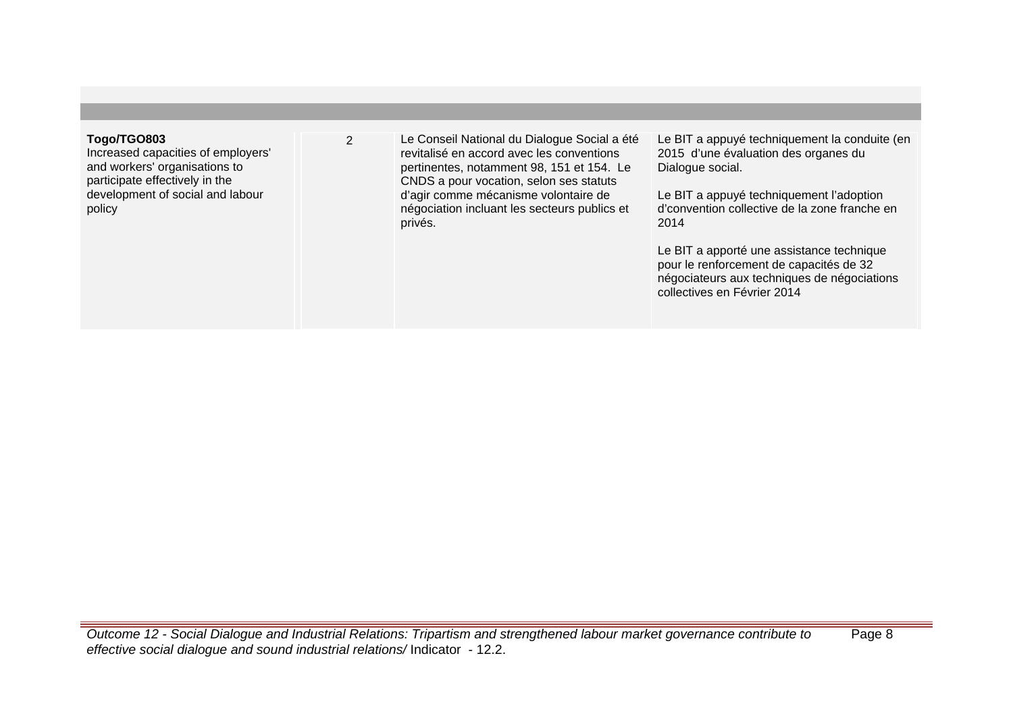# **Togo/TGO803**

Increased capacities of employers' and workers' organisations to participate effectively in the development of social and labour policy

2 Le Conseil National du Dialogue Social a été revitalisé en accord avec les conventions pertinentes, notamment 98, 151 et 154. Le CNDS a pour vocation, selon ses statuts d'agir comme mécanisme volontaire de négociation incluant les secteurs publics et privés.

Le BIT a appuyé techniquement la conduite (en 2015 d'une évaluation des organes du Dialogue social.

Le BIT a appuyé techniquement l'adoption d'convention collective de la zone franche en 2014

Le BIT a apporté une assistance technique pour le renforcement de capacités de 32 négociateurs aux techniques de négociations collectives en Février 2014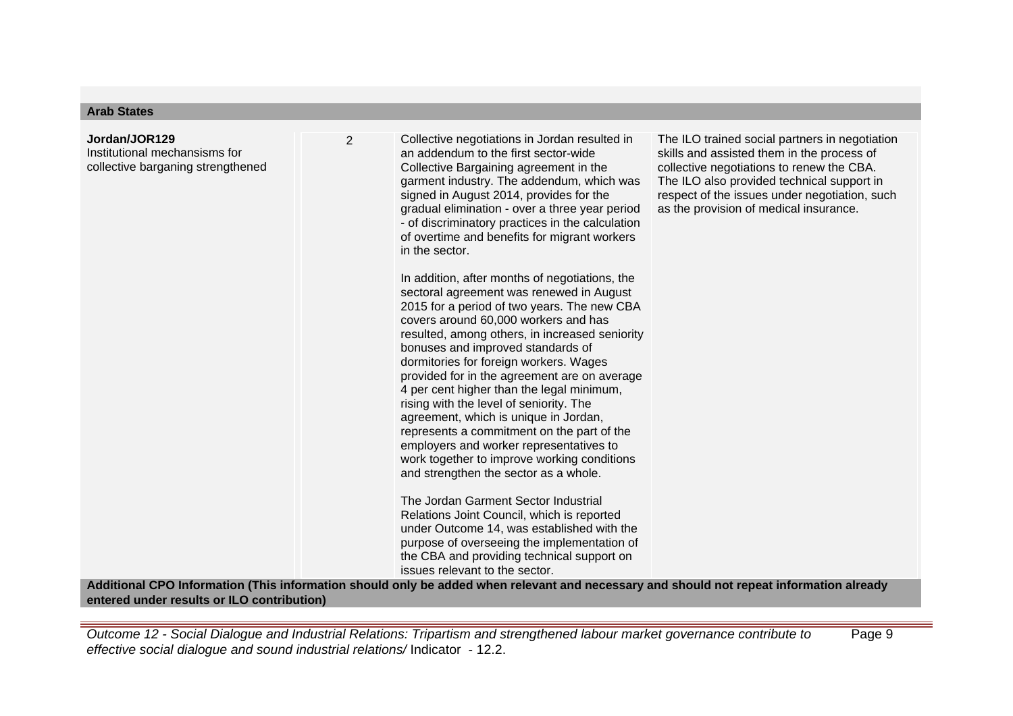# **Jordan/JOR129** Institutional mechansisms for collective barganing strengthened

2 Collective negotiations in Jordan resulted in an addendum to the first sector-wide Collective Bargaining agreement in the garment industry. The addendum, which was signed in August 2014, provides for the gradual elimination - over a three year period - of discriminatory practices in the calculation of overtime and benefits for migrant workers in the sector.

> In addition, after months of negotiations, the sectoral agreement was renewed in August 2015 for a period of two years. The new CBA covers around 60,000 workers and has resulted, among others, in increased seniority bonuses and improved standards of dormitories for foreign workers. Wages provided for in the agreement are on average 4 per cent higher than the legal minimum, rising with the level of seniority. The agreement, which is unique in Jordan, represents a commitment on the part of the employers and worker representatives to work together to improve working conditions and strengthen the sector as a whole.

The Jordan Garment Sector Industrial Relations Joint Council, which is reported under Outcome 14, was established with the purpose of overseeing the implementation of the CBA and providing technical support on issues relevant to the sector.

The ILO trained social partners in negotiation skills and assisted them in the process of collective negotiations to renew the CBA. The ILO also provided technical support in respect of the issues under negotiation, such as the provision of medical insurance.

**Additional CPO Information (This information should only be added when relevant and necessary and should not repeat information already entered under results or ILO contribution)**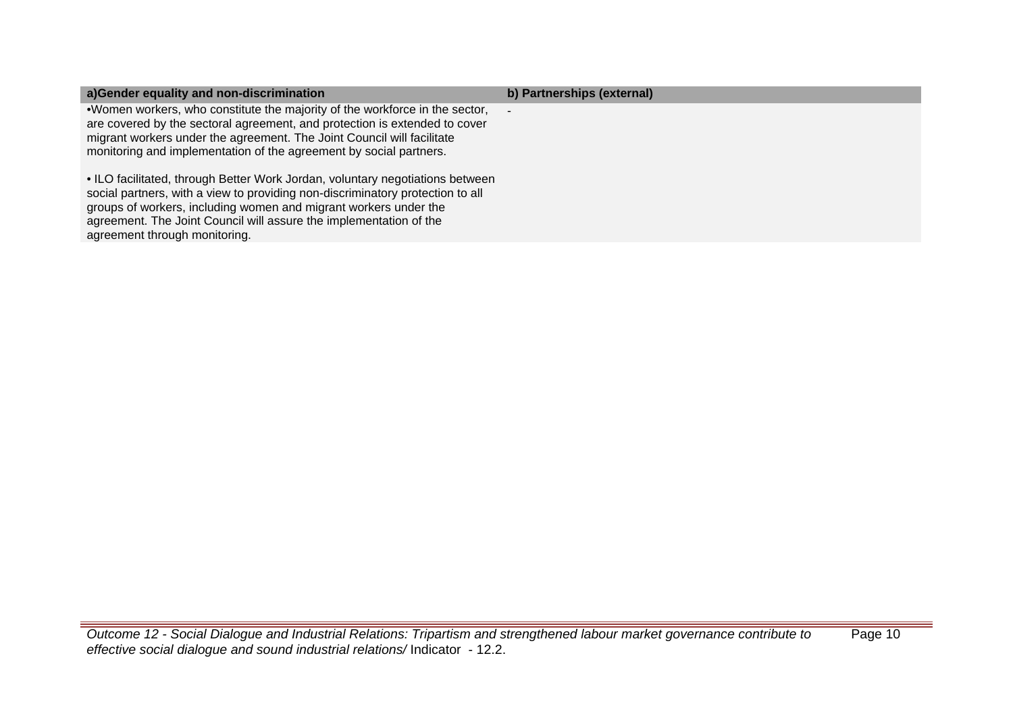| a)Gender equality and non-discrimination                                                                                                                                                                                                                                                                                                   | b) Partnerships (external) |
|--------------------------------------------------------------------------------------------------------------------------------------------------------------------------------------------------------------------------------------------------------------------------------------------------------------------------------------------|----------------------------|
| .Women workers, who constitute the majority of the workforce in the sector,<br>are covered by the sectoral agreement, and protection is extended to cover<br>migrant workers under the agreement. The Joint Council will facilitate<br>monitoring and implementation of the agreement by social partners.                                  | $\overline{\phantom{a}}$   |
| • ILO facilitated, through Better Work Jordan, voluntary negotiations between<br>social partners, with a view to providing non-discriminatory protection to all<br>groups of workers, including women and migrant workers under the<br>agreement. The Joint Council will assure the implementation of the<br>agreement through monitoring. |                            |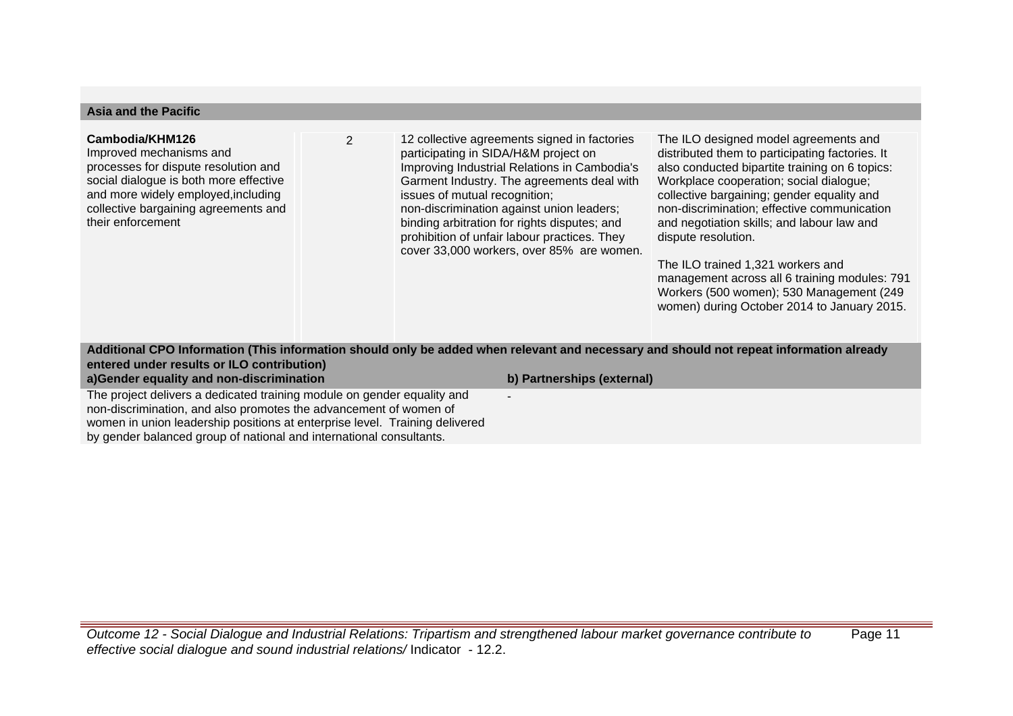| <b>Asia and the Pacific</b>                                                                                                                                                                                                      |                |                                                                                                                                                                                                                                                                                                                                                                                                               |                                                                                                                                                                                                                                                                                                                                                                                                                                                                                                                                          |
|----------------------------------------------------------------------------------------------------------------------------------------------------------------------------------------------------------------------------------|----------------|---------------------------------------------------------------------------------------------------------------------------------------------------------------------------------------------------------------------------------------------------------------------------------------------------------------------------------------------------------------------------------------------------------------|------------------------------------------------------------------------------------------------------------------------------------------------------------------------------------------------------------------------------------------------------------------------------------------------------------------------------------------------------------------------------------------------------------------------------------------------------------------------------------------------------------------------------------------|
| Cambodia/KHM126<br>Improved mechanisms and<br>processes for dispute resolution and<br>social dialogue is both more effective<br>and more widely employed, including<br>collective bargaining agreements and<br>their enforcement | $\overline{2}$ | 12 collective agreements signed in factories<br>participating in SIDA/H&M project on<br>Improving Industrial Relations in Cambodia's<br>Garment Industry. The agreements deal with<br>issues of mutual recognition;<br>non-discrimination against union leaders;<br>binding arbitration for rights disputes; and<br>prohibition of unfair labour practices. They<br>cover 33,000 workers, over 85% are women. | The ILO designed model agreements and<br>distributed them to participating factories. It<br>also conducted bipartite training on 6 topics:<br>Workplace cooperation; social dialogue;<br>collective bargaining; gender equality and<br>non-discrimination; effective communication<br>and negotiation skills; and labour law and<br>dispute resolution.<br>The ILO trained 1,321 workers and<br>management across all 6 training modules: 791<br>Workers (500 women); 530 Management (249<br>women) during October 2014 to January 2015. |
|                                                                                                                                                                                                                                  |                | Additional CPO Information (This information should only be added when relevant and necessary and should not repeat information already                                                                                                                                                                                                                                                                       |                                                                                                                                                                                                                                                                                                                                                                                                                                                                                                                                          |

# **Additional CPO Information (This information should only be added when relevant and necessary and should not repeat information already entered under results or ILO contribution) a)Gender equality and non-discrimination b) Partnerships (external)**

-

The project delivers a dedicated training module on gender equality and non-discrimination, and also promotes the advancement of women of women in union leadership positions at enterprise level. Training delivered by gender balanced group of national and international consultants.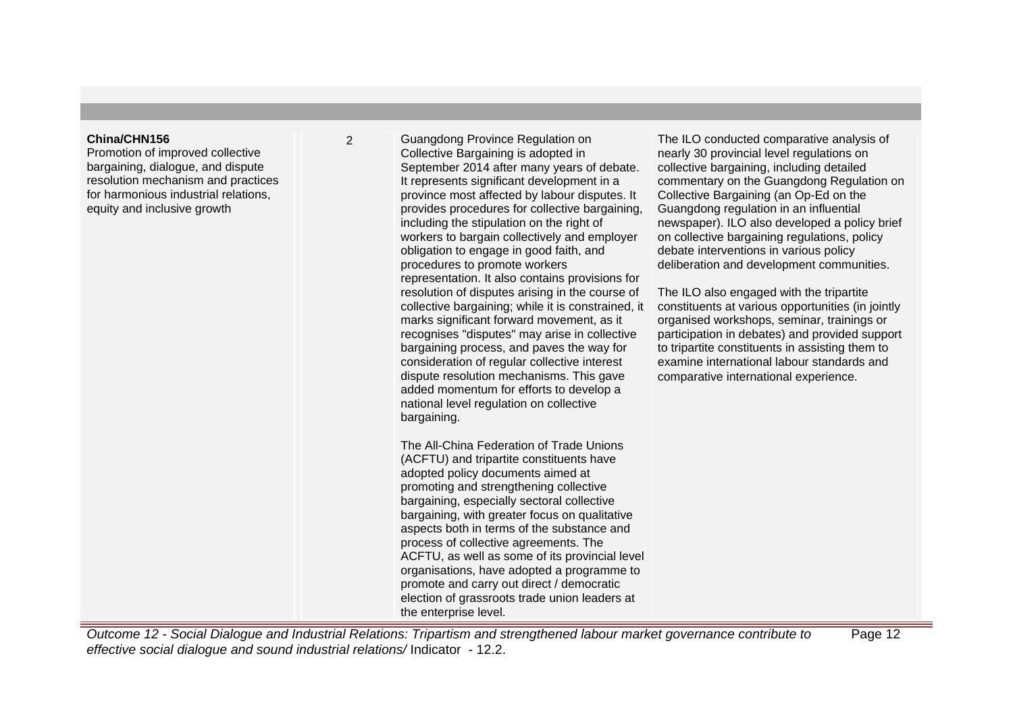## **China/CHN156**

Promotion of improved collective bargaining, dialogue, and dispute resolution mechanism and practices for harmonious industrial relations, equity and inclusive growth

2 Guangdong Province Regulation on Collective Bargaining is adopted in September 2014 after many years of debate. It represents significant development in a province most affected by labour disputes. It provides procedures for collective bargaining, including the stipulation on the right of workers to bargain collectively and employer obligation to engage in good faith, and procedures to promote workers representation. It also contains provisions for resolution of disputes arising in the course of collective bargaining; while it is constrained, it marks significant forward movement, as it recognises "disputes" may arise in collective bargaining process, and paves the way for consideration of regular collective interest dispute resolution mechanisms. This gave added momentum for efforts to develop a national level regulation on collective bargaining.

> The All-China Federation of Trade Unions (ACFTU) and tripartite constituents have adopted policy documents aimed at promoting and strengthening collective bargaining, especially sectoral collective bargaining, with greater focus on qualitative aspects both in terms of the substance and process of collective agreements. The ACFTU, as well as some of its provincial level organisations, have adopted a programme to promote and carry out direct / democratic election of grassroots trade union leaders at the enterprise level.

The ILO conducted comparative analysis of nearly 30 provincial level regulations on collective bargaining, including detailed commentary on the Guangdong Regulation on Collective Bargaining (an Op-Ed on the Guangdong regulation in an influential newspaper). ILO also developed a policy brief on collective bargaining regulations, policy debate interventions in various policy deliberation and development communities.

The ILO also engaged with the tripartite constituents at various opportunities (in jointly organised workshops, seminar, trainings or participation in debates) and provided support to tripartite constituents in assisting them to examine international labour standards and comparative international experience.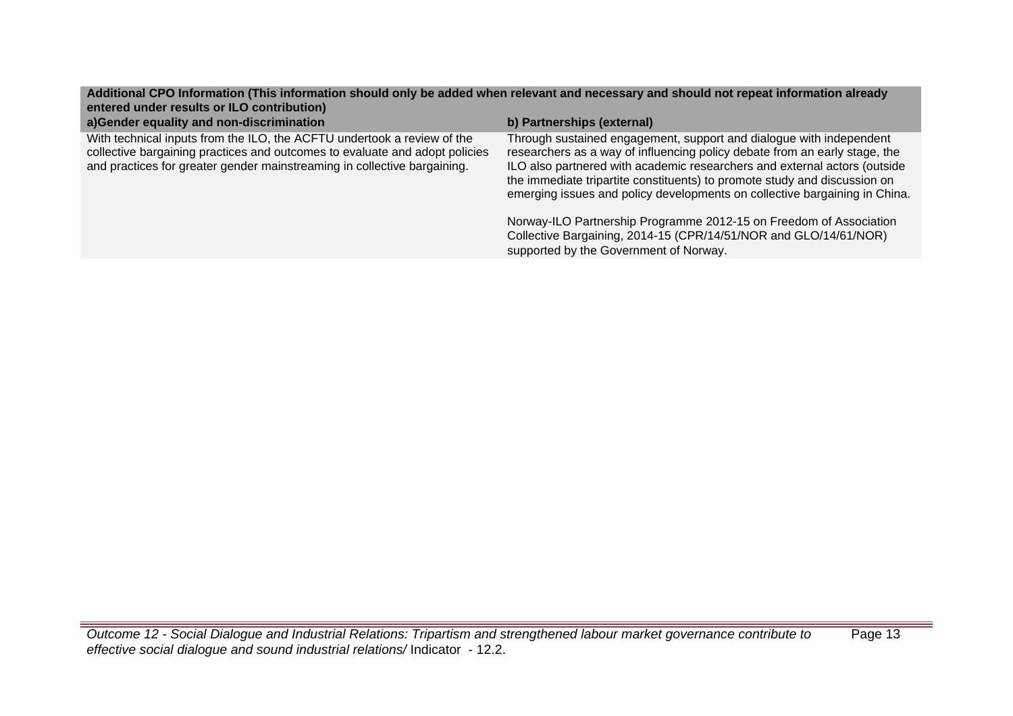# **Additional CPO Information (This information should only be added when relevant and necessary and should not repeat information already entered under results or ILO contribution)**

| a)Gender equality and non-discrimination                                                                                                                                                                                           | b) Partnerships (external)                                                                                                                                                                                                                                                                                                                                                                |
|------------------------------------------------------------------------------------------------------------------------------------------------------------------------------------------------------------------------------------|-------------------------------------------------------------------------------------------------------------------------------------------------------------------------------------------------------------------------------------------------------------------------------------------------------------------------------------------------------------------------------------------|
| With technical inputs from the ILO, the ACFTU undertook a review of the<br>collective bargaining practices and outcomes to evaluate and adopt policies<br>and practices for greater gender mainstreaming in collective bargaining. | Through sustained engagement, support and dialogue with independent<br>researchers as a way of influencing policy debate from an early stage, the<br>ILO also partnered with academic researchers and external actors (outside<br>the immediate tripartite constituents) to promote study and discussion on<br>emerging issues and policy developments on collective bargaining in China. |
|                                                                                                                                                                                                                                    | Norway-ILO Partnership Programme 2012-15 on Freedom of Association<br>Collective Bargaining, 2014-15 (CPR/14/51/NOR and GLO/14/61/NOR)<br>supported by the Government of Norway.                                                                                                                                                                                                          |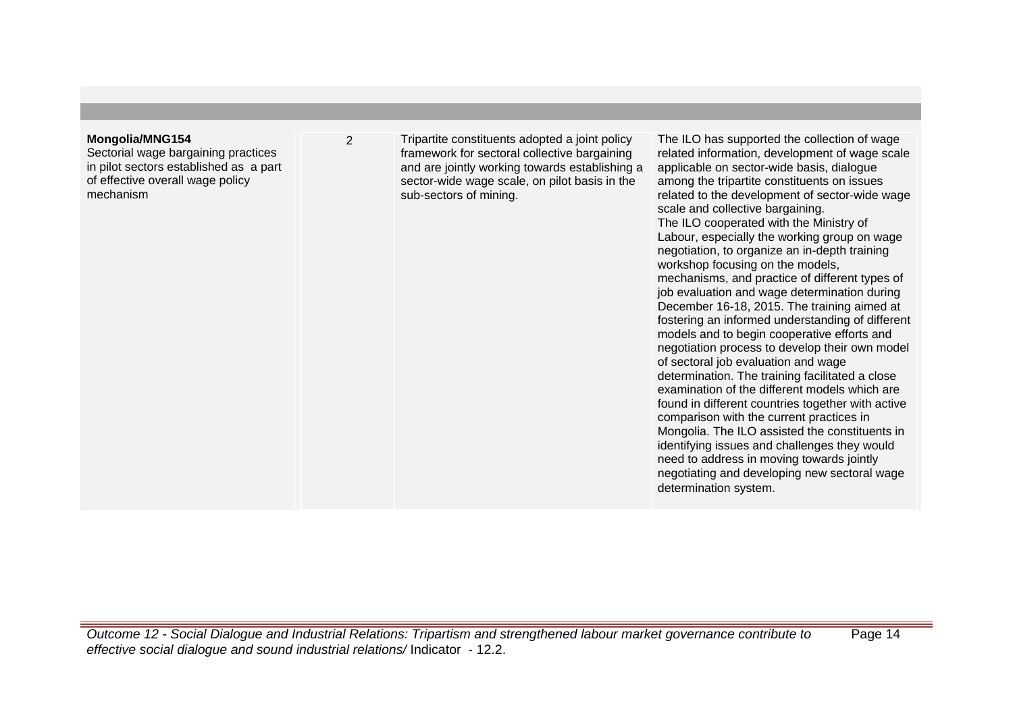# **Mongolia/MNG154**

Sectorial wage bargaining practices in pilot sectors established as a part of effective overall wage policy mechanism

2 Tripartite constituents adopted a joint policy framework for sectoral collective bargaining and are jointly working towards establishing a sector-wide wage scale, on pilot basis in the sub-sectors of mining.

The ILO has supported the collection of wage related information, development of wage scale applicable on sector-wide basis, dialogue among the tripartite constituents on issues related to the development of sector-wide wage scale and collective bargaining. The ILO cooperated with the Ministry of Labour, especially the working group on wage negotiation, to organize an in-depth training workshop focusing on the models, mechanisms, and practice of different types of job evaluation and wage determination during December 16-18, 2015. The training aimed at fostering an informed understanding of different models and to begin cooperative efforts and negotiation process to develop their own model of sectoral job evaluation and wage determination. The training facilitated a close examination of the different models which are found in different countries together with active comparison with the current practices in Mongolia. The ILO assisted the constituents in identifying issues and challenges they would need to address in moving towards jointly negotiating and developing new sectoral wage determination system.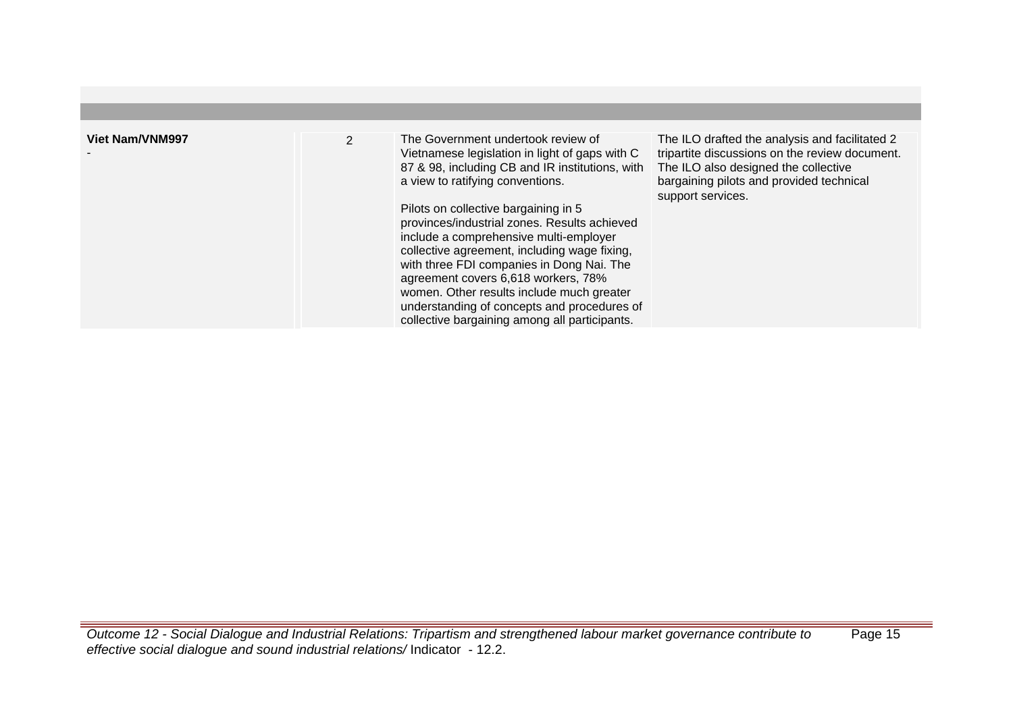| <b>Viet Nam/VNM997</b> | $\overline{2}$ | The Government undertook review of<br>Vietnamese legislation in light of gaps with C<br>87 & 98, including CB and IR institutions, with<br>a view to ratifying conventions.<br>Pilots on collective bargaining in 5<br>provinces/industrial zones. Results achieved<br>include a comprehensive multi-employer<br>collective agreement, including wage fixing,<br>with three FDI companies in Dong Nai. The<br>agreement covers 6,618 workers, 78%<br>women. Other results include much greater<br>understanding of concepts and procedures of<br>collective bargaining among all participants. | The ILO drafted the analysis and facilitated 2<br>tripartite discussions on the review document.<br>The ILO also designed the collective<br>bargaining pilots and provided technical<br>support services. |
|------------------------|----------------|------------------------------------------------------------------------------------------------------------------------------------------------------------------------------------------------------------------------------------------------------------------------------------------------------------------------------------------------------------------------------------------------------------------------------------------------------------------------------------------------------------------------------------------------------------------------------------------------|-----------------------------------------------------------------------------------------------------------------------------------------------------------------------------------------------------------|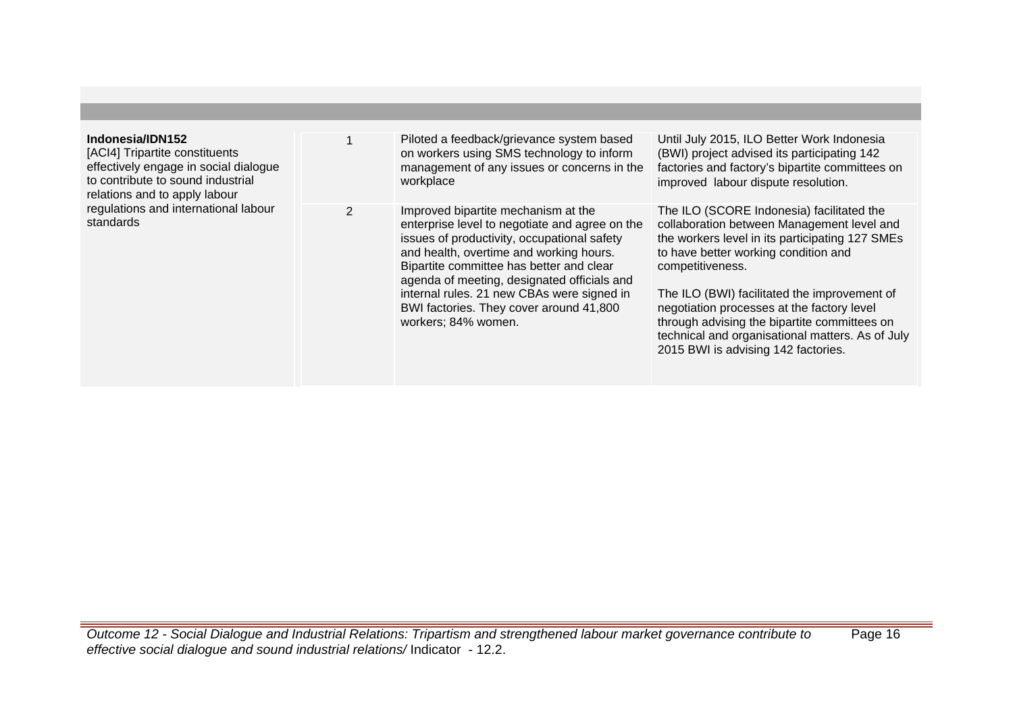| Indonesia/IDN152<br>[ACI4] Tripartite constituents<br>effectively engage in social dialogue<br>to contribute to sound industrial<br>relations and to apply labour<br>regulations and international labour<br>standards |               | Piloted a feedback/grievance system based<br>on workers using SMS technology to inform<br>management of any issues or concerns in the<br>workplace                                                                                                                                                                                                                                         | Until July 2015, ILO Better Work Indonesia<br>(BWI) project advised its participating 142<br>factories and factory's bipartite committees on<br>improved labour dispute resolution.                                                                                                                                                                                                                                                             |
|------------------------------------------------------------------------------------------------------------------------------------------------------------------------------------------------------------------------|---------------|--------------------------------------------------------------------------------------------------------------------------------------------------------------------------------------------------------------------------------------------------------------------------------------------------------------------------------------------------------------------------------------------|-------------------------------------------------------------------------------------------------------------------------------------------------------------------------------------------------------------------------------------------------------------------------------------------------------------------------------------------------------------------------------------------------------------------------------------------------|
|                                                                                                                                                                                                                        | $\mathcal{P}$ | Improved bipartite mechanism at the<br>enterprise level to negotiate and agree on the<br>issues of productivity, occupational safety<br>and health, overtime and working hours.<br>Bipartite committee has better and clear<br>agenda of meeting, designated officials and<br>internal rules. 21 new CBAs were signed in<br>BWI factories. They cover around 41,800<br>workers; 84% women. | The ILO (SCORE Indonesia) facilitated the<br>collaboration between Management level and<br>the workers level in its participating 127 SMEs<br>to have better working condition and<br>competitiveness.<br>The ILO (BWI) facilitated the improvement of<br>negotiation processes at the factory level<br>through advising the bipartite committees on<br>technical and organisational matters. As of July<br>2015 BWI is advising 142 factories. |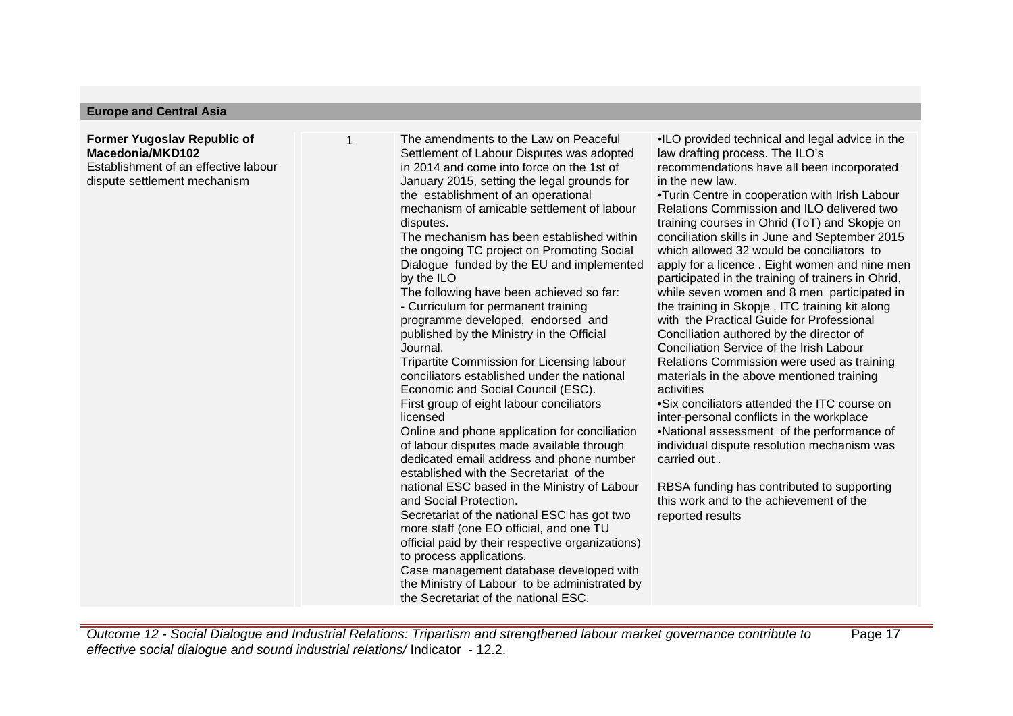## **Europe and Central Asia**

## **Former Yugoslav Republic of Macedonia/MKD102** Establishment of an effective labour

dispute settlement mechanism

1 The amendments to the Law on Peaceful Settlement of Labour Disputes was adopted in 2014 and come into force on the 1st of January 2015, setting the legal grounds for the establishment of an operational mechanism of amicable settlement of labour disputes.

The mechanism has been established within the ongoing TC project on Promoting Social Dialogue funded by the EU and implemented by the ILO

The following have been achieved so far:

- Curriculum for permanent training programme developed, endorsed and published by the Ministry in the Official Journal.

Tripartite Commission for Licensing labour conciliators established under the national Economic and Social Council (ESC). First group of eight labour conciliators licensed

Online and phone application for conciliation of labour disputes made available through dedicated email address and phone number established with the Secretariat of the national ESC based in the Ministry of Labour

and Social Protection.

Secretariat of the national ESC has got two more staff (one EO official, and one TU official paid by their respective organizations)

to process applications.

Case management database developed with the Ministry of Labour to be administrated by the Secretariat of the national ESC.

• ILO provided technical and legal advice in the law drafting process. The ILO's recommendations have all been incorporated in the new law.

• Turin Centre in cooperation with Irish Labour Relations Commission and ILO delivered two training courses in Ohrid (ToT) and Skopje on conciliation skills in June and September 2015 which allowed 32 would be conciliators to apply for a licence . Eight women and nine men participated in the training of trainers in Ohrid, while seven women and 8 men participated in the training in Skopje . ITC training kit along with the Practical Guide for Professional Conciliation authored by the director of Conciliation Service of the Irish Labour Relations Commission were used as training materials in the above mentioned training activities

• Six conciliators attended the ITC course on inter-personal conflicts in the workplace

• National assessment of the performance of individual dispute resolution mechanism was carried out .

RBSA funding has contributed to supporting this work and to the achievement of the reported results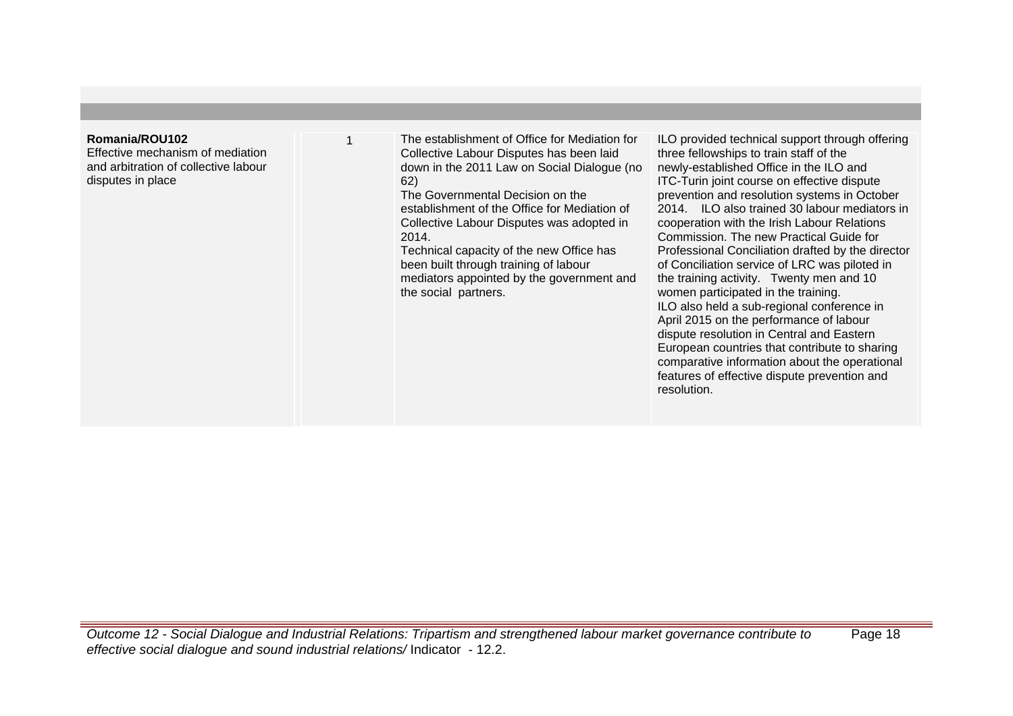# **Romania/ROU102**

Effective mechanism of mediation and arbitration of collective labour disputes in place

1 The establishment of Office for Mediation for Collective Labour Disputes has been laid down in the 2011 Law on Social Dialogue (no 62)

The Governmental Decision on the establishment of the Office for Mediation of Collective Labour Disputes was adopted in 2014.

Technical capacity of the new Office has been built through training of labour mediators appointed by the government and the social partners.

ILO provided technical support through offering three fellowships to train staff of the newly-established Office in the ILO and ITC-Turin joint course on effective dispute prevention and resolution systems in October 2014. ILO also trained 30 labour mediators in cooperation with the Irish Labour Relations Commission. The new Practical Guide for Professional Conciliation drafted by the director of Conciliation service of LRC was piloted in the training activity. Twenty men and 10 women participated in the training. ILO also held a sub-regional conference in April 2015 on the performance of labour dispute resolution in Central and Eastern European countries that contribute to sharing comparative information about the operational features of effective dispute prevention and resolution.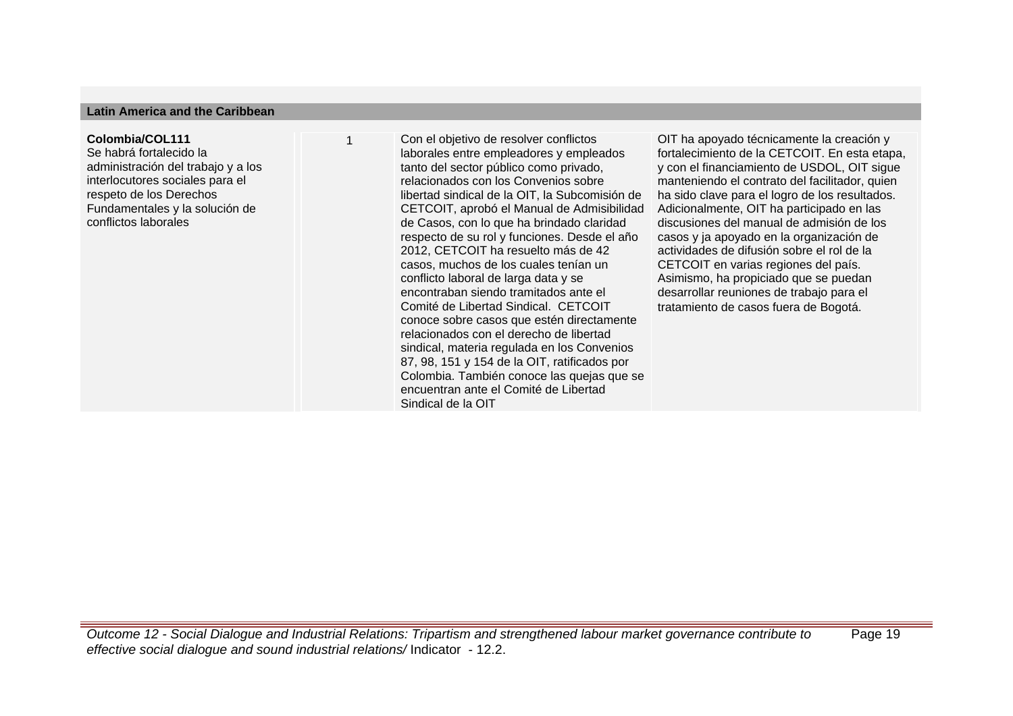### **Latin America and the Caribbean**

#### **Colombia/COL111**

Se habrá fortalecido la administración del trabajo y a los interlocutores sociales para el respeto de los Derechos Fundamentales y la solución de conflictos laborales

1 Con el objetivo de resolver conflictos laborales entre empleadores y empleados tanto del sector público como privado, relacionados con los Convenios sobre libertad sindical de la OIT, la Subcomisión de CETCOIT, aprobó el Manual de Admisibilidad de Casos, con lo que ha brindado claridad respecto de su rol y funciones. Desde el año 2012, CETCOIT ha resuelto más de 42 casos, muchos de los cuales tenían un conflicto laboral de larga data y se encontraban siendo tramitados ante el Comité de Libertad Sindical. CETCOIT conoce sobre casos que estén directamente relacionados con el derecho de libertad sindical, materia regulada en los Convenios 87, 98, 151 y 154 de la OIT, ratificados por Colombia. También conoce las quejas que se encuentran ante el Comité de Libertad Sindical de la OIT 

OIT ha apoyado técnicamente la creación y fortalecimiento de la CETCOIT. En esta etapa, y con el financiamiento de USDOL, OIT sigue manteniendo el contrato del facilitador, quien ha sido clave para el logro de los resultados. Adicionalmente, OIT ha participado en las discusiones del manual de admisión de los casos y ja apoyado en la organización de actividades de difusión sobre el rol de la CETCOIT en varias regiones del país. Asimismo, ha propiciado que se puedan desarrollar reuniones de trabajo para el tratamiento de casos fuera de Bogotá.